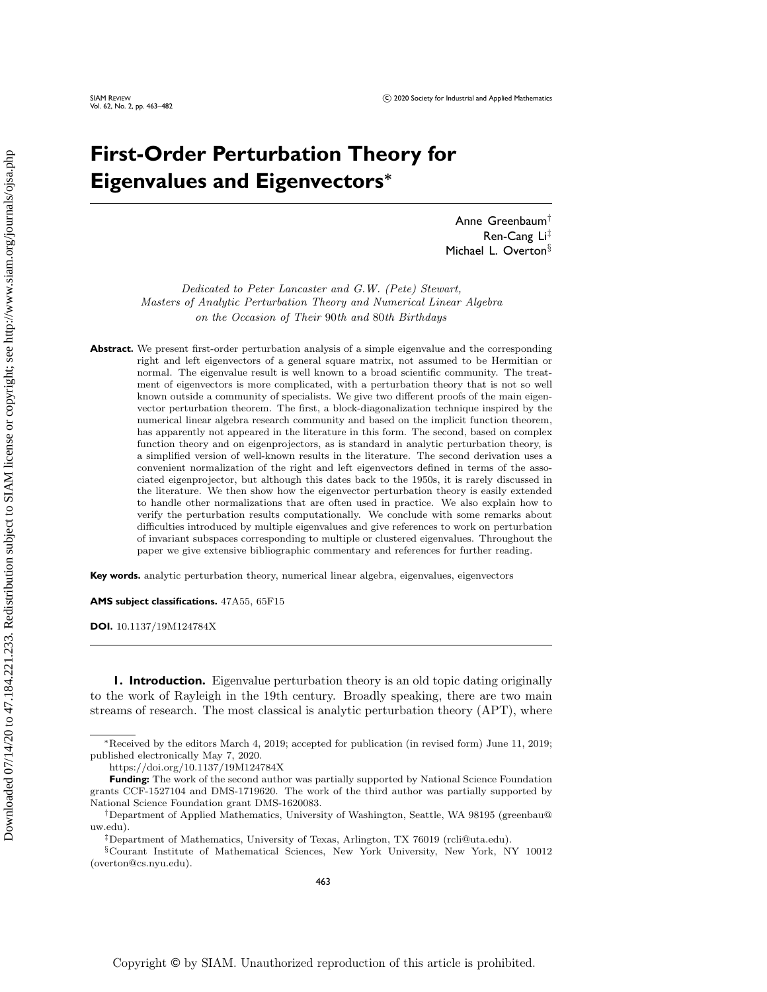# **First-Order Perturbation Theory for Eigenvalues and Eigenvectors\***

Anne Greenbaum<sup>t</sup> Ren-Cang  $Li<sup>‡</sup>$ Michael L. Overton $\S$ 

Dedicated to Peter Lancaster and G.W. (Pete) Stewart, Masters of Analytic Perturbation Theory and Numerical Linear Algebra on the Occasion of Their 90th and 80th Birthdays

Abstract. We present first-order perturbation analysis of a simple eigenvalue and the corresponding right and left eigenvectors of a general square matrix, not assumed to be Hermitian or normal. The eigenvalue result is well known to a broad scientific community. The treatment of eigenvectors is more complicated, with a perturbation theory that is not so well known outside a community of specialists. We give two different proofs of the main eigenvector perturbation theorem. The first, a block-diagonalization technique inspired by the numerical linear algebra research community and based on the implicit function theorem, has apparently not appeared in the literature in this form. The second, based on complex function theory and on eigenprojectors, as is standard in analytic perturbation theory, is a simplified version of well-known results in the literature. The second derivation uses a convenient normalization of the right and left eigenvectors defined in terms of the associated eigenprojector, but although this dates back to the 1950s, it is rarely discussed in the literature. We then show how the eigenvector perturbation theory is easily extended to handle other normalizations that are often used in practice. We also explain how to verify the perturbation results computationally. We conclude with some remarks about difficulties introduced by multiple eigenvalues and give references to work on perturbation of invariant subspaces corresponding to multiple or clustered eigenvalues. Throughout the paper we give extensive bibliographic commentary and references for further reading.

**Key words.** analytic perturbation theory, numerical linear algebra, eigenvalues, eigenvectors

**AMS subject classifications.** 47A55, 65F15

**DOI.** 10.1137/19M124784X

<span id="page-0-0"></span>**1. Introduction.** Eigenvalue perturbation theory is an old topic dating originally to the work of Rayleigh in the 19th century. Broadly speaking, there are two main streams of research. The most classical is analytic perturbation theory (APT), where

<sup>\*</sup>Received by the editors March 4, 2019; accepted for publication (in revised form) June 11, 2019; published electronically May 7, 2020.

<https://doi.org/10.1137/19M124784X>

**Funding:** The work of the second author was partially supported by National Science Foundation grants CCF-1527104 and DMS-1719620. The work of the third author was partially supported by National Science Foundation grant DMS-1620083.

<sup>&</sup>lt;sup>†</sup>Department of Applied Mathematics, University of Washington, Seattle, WA 98195 [\(greenbau@](mailto:greenbau@uw.edu) [uw.edu\)](mailto:greenbau@uw.edu).

<sup>&</sup>lt;sup>‡</sup>Department of Mathematics, University of Texas, Arlington, TX 76019 [\(rcli@uta.edu\)](mailto:rcli@uta.edu).

 $\S$  Courant Institute of Mathematical Sciences, New York University, New York, NY 10012 [\(overton@cs.nyu.edu\)](mailto:overton@cs.nyu.edu).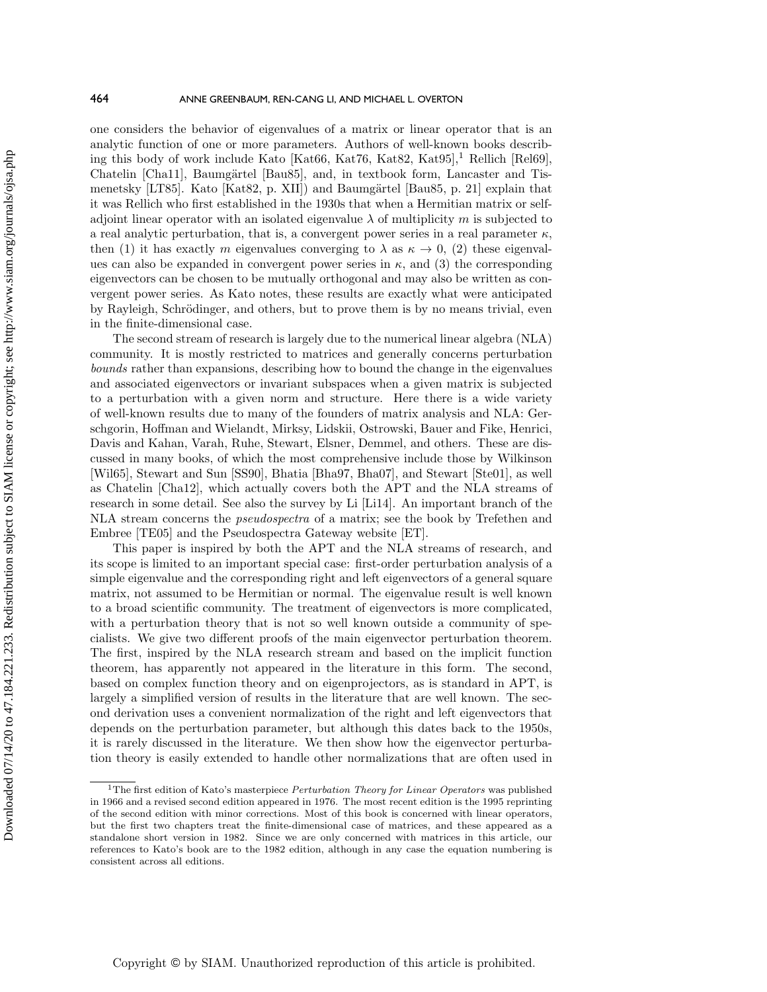one considers the behavior of eigenvalues of a matrix or linear operator that is an analytic function of one or more parameters. Authors of well-known books describ-ing this body of work include Kato [\[Kat66,](#page-18-0) [Kat76,](#page-18-1) [Kat82,](#page-18-2) [Kat95\]](#page-18-3),<sup>[1](#page-1-0)</sup> Rellich [\[Rel69\]](#page-18-4), Chatelin [\[Cha11\]](#page-17-0), Baumgärtel [\[Bau85\]](#page-17-1), and, in textbook form, Lancaster and Tis-menetsky [\[LT85\]](#page-18-5). Kato [\[Kat82,](#page-18-2) p. XII]) and Baumgärtel [\[Bau85,](#page-17-1) p. 21] explain that it was Rellich who first established in the 1930s that when a Hermitian matrix or selfadjoint linear operator with an isolated eigenvalue  $\lambda$  of multiplicity m is subjected to a real analytic perturbation, that is, a convergent power series in a real parameter  $\kappa$ , then (1) it has exactly m eigenvalues converging to  $\lambda$  as  $\kappa \rightarrow 0$ , (2) these eigenvalues can also be expanded in convergent power series in  $\kappa$ , and (3) the corresponding eigenvectors can be chosen to be mutually orthogonal and may also be written as convergent power series. As Kato notes, these results are exactly what were anticipated by Rayleigh, Schrödinger, and others, but to prove them is by no means trivial, even in the finite-dimensional case.

The second stream of research is largely due to the numerical linear algebra (NLA) community. It is mostly restricted to matrices and generally concerns perturbation bounds rather than expansions, describing how to bound the change in the eigenvalues and associated eigenvectors or invariant subspaces when a given matrix is subjected to a perturbation with a given norm and structure. Here there is a wide variety of well-known results due to many of the founders of matrix analysis and NLA: Gerschgorin, Hoffman and Wielandt, Mirksy, Lidskii, Ostrowski, Bauer and Fike, Henrici, Davis and Kahan, Varah, Ruhe, Stewart, Elsner, Demmel, and others. These are discussed in many books, of which the most comprehensive include those by Wilkinson [\[Wil65\]](#page-19-0), Stewart and Sun [\[SS90\]](#page-19-1), Bhatia [\[Bha97,](#page-17-2) [Bha07\]](#page-17-3), and Stewart [\[Ste01\]](#page-19-2), as well as Chatelin [\[Cha12\]](#page-17-4), which actually covers both the APT and the NLA streams of research in some detail. See also the survey by Li [\[Li14\]](#page-18-6). An important branch of the NLA stream concerns the pseudospectra of a matrix; see the book by Trefethen and Embree [\[TE05\]](#page-19-3) and the Pseudospectra Gateway website [\[ET\]](#page-17-5).

This paper is inspired by both the APT and the NLA streams of research, and its scope is limited to an important special case: first-order perturbation analysis of a simple eigenvalue and the corresponding right and left eigenvectors of a general square matrix, not assumed to be Hermitian or normal. The eigenvalue result is well known to a broad scientific community. The treatment of eigenvectors is more complicated, with a perturbation theory that is not so well known outside a community of specialists. We give two different proofs of the main eigenvector perturbation theorem. The first, inspired by the NLA research stream and based on the implicit function theorem, has apparently not appeared in the literature in this form. The second, based on complex function theory and on eigenprojectors, as is standard in APT, is largely a simplified version of results in the literature that are well known. The second derivation uses a convenient normalization of the right and left eigenvectors that depends on the perturbation parameter, but although this dates back to the 1950s, it is rarely discussed in the literature. We then show how the eigenvector perturbation theory is easily extended to handle other normalizations that are often used in

<span id="page-1-0"></span><sup>&</sup>lt;sup>1</sup>The first edition of Kato's masterpiece *Perturbation Theory for Linear Operators* was published in 1966 and a revised second edition appeared in 1976. The most recent edition is the 1995 reprinting of the second edition with minor corrections. Most of this book is concerned with linear operators, but the first two chapters treat the finite-dimensional case of matrices, and these appeared as a standalone short version in 1982. Since we are only concerned with matrices in this article, our references to Kato's book are to the 1982 edition, although in any case the equation numbering is consistent across all editions.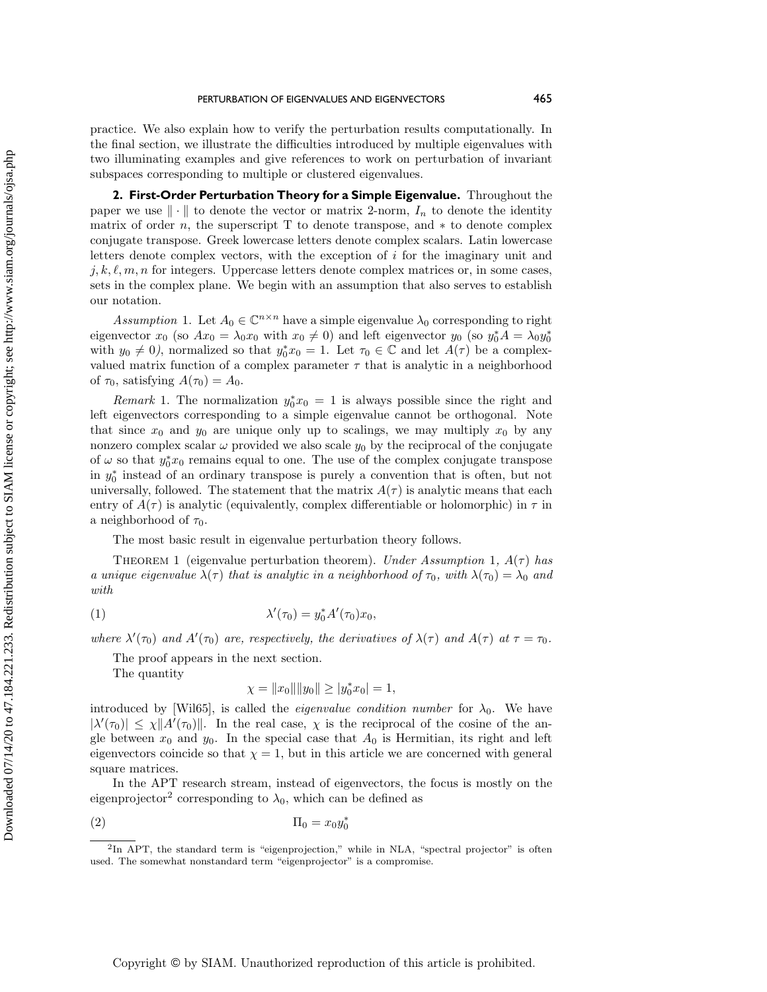practice. We also explain how to verify the perturbation results computationally. In the final section, we illustrate the difficulties introduced by multiple eigenvalues with two illuminating examples and give references to work on perturbation of invariant subspaces corresponding to multiple or clustered eigenvalues.

**2. First-Order Perturbation Theory for a Simple Eigenvalue.** Throughout the paper we use  $\|\cdot\|$  to denote the vector or matrix 2-norm,  $I_n$  to denote the identity matrix of order n, the superscript  $T$  to denote transpose, and  $*$  to denote complex conjugate transpose. Greek lowercase letters denote complex scalars. Latin lowercase letters denote complex vectors, with the exception of i for the imaginary unit and  $j, k, \ell, m, n$  for integers. Uppercase letters denote complex matrices or, in some cases, sets in the complex plane. We begin with an assumption that also serves to establish our notation.

<span id="page-2-0"></span>Assumption 1. Let  $A_0 \in \Bbb C^{n \times n}$  have a simple eigenvalue  $\lambda_0$  corresponding to right eigenvector  $x_0$  (so  $Ax_0 = \lambda_0 x_0$  with  $x_0 \neq 0$ ) and left eigenvector  $y_0$  (so  $y_0^* A = \lambda_0 y_0^*$ with  $y_0 \neq 0$ , normalized so that  $y_0^* x_0 = 1$ . Let  $\tau_0 \in \mathbb{C}$  and let  $A(\tau)$  be a complexvalued matrix function of a complex parameter  $\tau$  that is analytic in a neighborhood of  $\tau_0$ , satisfying  $A(\tau_0) = A_0$ .

Remark 1. The normalization  $y_0^* x_0 = 1$  is always possible since the right and left eigenvectors corresponding to a simple eigenvalue cannot be orthogonal. Note that since  $x_0$  and  $y_0$  are unique only up to scalings, we may multiply  $x_0$  by any nonzero complex scalar  $\omega$  provided we also scale  $y_0$  by the reciprocal of the conjugate of  $\omega$  so that  $y_0^* x_0$  remains equal to one. The use of the complex conjugate transpose in  $y_0^*$  instead of an ordinary transpose is purely a convention that is often, but not universally, followed. The statement that the matrix  $A(\tau )$  is analytic means that each entry of  $A(\tau )$  is analytic (equivalently, complex differentiable or holomorphic) in  $\tau$  in a neighborhood of  $\tau_0$ .

The most basic result in eigenvalue perturbation theory follows.

<span id="page-2-3"></span>THEOREM [1](#page-2-0) (eigenvalue perturbation theorem). Under Assumption 1,  $A(\tau )$  has a unique eigenvalue  $\lambda (\tau )$  that is analytic in a neighborhood of  $\tau _0$ , with  $\lambda (\tau _0) = \lambda _0$  and with

$$
\lambda'(\tau_0) = y_0^* A'(\tau_0) x_0,
$$

where  $\lambda'(\tau_0)$  and  $A'(\tau_0)$  are, respectively, the derivatives of  $\lambda(\tau)$  and  $A(\tau)$  at  $\tau = \tau_0$ .

The proof appears in the next section.

The quantity

<span id="page-2-2"></span>
$$
\chi = \|x_0\| \|y_0\| \ge |y_0^* x_0| = 1,
$$

introduced by [\[Wil65\]](#page-19-0), is called the *eigenvalue condition number* for  $\lambda_0$ . We have  $|\lambda'(\tau_0)| \leq \chi \| A'(\tau_0) \|$ . In the real case,  $\chi$  is the reciprocal of the cosine of the angle between  $x_0$  and  $y_0$ . In the special case that  $A_0$  is Hermitian, its right and left eigenvectors coincide so that  $\chi = 1$ , but in this article we are concerned with general square matrices.

In the APT research stream, instead of eigenvectors, the focus is mostly on the eigenprojector<sup>[2](#page-2-1)</sup> corresponding to  $\lambda_0$ , which can be defined as

$$
\Pi_0 = x_0 y_0^*
$$

<span id="page-2-1"></span> ${}^{2}$ In APT, the standard term is "eigenprojection," while in NLA, "spectral projector" is often used. The somewhat nonstandard term "eigenprojector" is a compromise.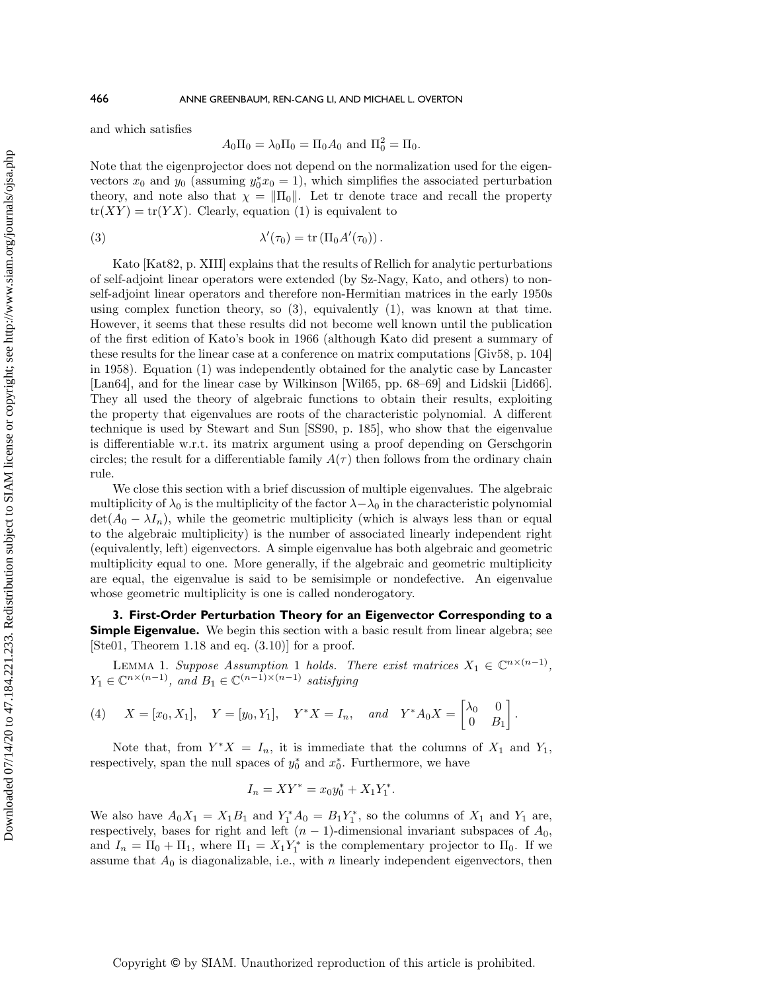and which satisfies

<span id="page-3-0"></span>
$$
A_0 \Pi_0 = \lambda_0 \Pi_0 = \Pi_0 A_0 \text{ and } \Pi_0^2 = \Pi_0.
$$

Note that the eigenprojector does not depend on the normalization used for the eigenvectors  $x_0$  and  $y_0$  (assuming  $y_0^* x_0 = 1$ ), which simplifies the associated perturbation theory, and note also that  $\chi = || \Pi_0 ||$ . Let tr denote trace and recall the property  $tr(XY) = tr(YX)$ . Clearly, equation [\(1\)](#page-2-2) is equivalent to

(3) 
$$
\lambda'(\tau_0) = \text{tr}(\Pi_0 A'(\tau_0)).
$$

Kato [\[Kat82,](#page-18-2) p. XIII] explains that the results of Rellich for analytic perturbations of self-adjoint linear operators were extended (by Sz-Nagy, Kato, and others) to nonself-adjoint linear operators and therefore non-Hermitian matrices in the early 1950s using complex function theory, so  $(3)$ , equivalently  $(1)$ , was known at that time. However, it seems that these results did not become well known until the publication of the first edition of Kato's book in 1966 (although Kato did present a summary of these results for the linear case at a conference on matrix computations [\[Giv58,](#page-18-7) p. 104] in 1958). Equation [\(1\)](#page-2-2) was independently obtained for the analytic case by Lancaster [\[Lan64\]](#page-18-8), and for the linear case by Wilkinson [\[Wil65,](#page-19-0) pp. 68–69] and Lidskii [\[Lid66\]](#page-18-9). They all used the theory of algebraic functions to obtain their results, exploiting the property that eigenvalues are roots of the characteristic polynomial. A different technique is used by Stewart and Sun [\[SS90,](#page-19-1) p. 185], who show that the eigenvalue is differentiable w.r.t. its matrix argument using a proof depending on Gerschgorin circles; the result for a differentiable family  $A(\tau)$  then follows from the ordinary chain rule.

We close this section with a brief discussion of multiple eigenvalues. The algebraic multiplicity of  $\lambda_0$  is the multiplicity of the factor  $\lambda - \lambda_0$  in the characteristic polynomial  $\det(A_0 - \lambda I_n)$ , while the geometric multiplicity (which is always less than or equal to the algebraic multiplicity) is the number of associated linearly independent right (equivalently, left) eigenvectors. A simple eigenvalue has both algebraic and geometric multiplicity equal to one. More generally, if the algebraic and geometric multiplicity are equal, the eigenvalue is said to be semisimple or nondefective. An eigenvalue whose geometric multiplicity is one is called nonderogatory.

**3. First-Order Perturbation Theory for an Eigenvector Corresponding to a Simple Eigenvalue.** We begin this section with a basic result from linear algebra; see [\[Ste01,](#page-19-2) Theorem 1.18 and eq. (3.10)] for a proof.

<span id="page-3-2"></span>LEMMA [1](#page-2-0). Suppose Assumption 1 holds. There exist matrices  $X_1 \in \Bbb C^{n \times (n-1)}$ ,  $Y_1 \in \mathbb C^{n \times (n-1)}$ , and  $B_1 \in \mathbb C^{(n-1)\times (n-1)}$  satisfying

<span id="page-3-1"></span>(4) 
$$
X = [x_0, X_1], Y = [y_0, Y_1], Y^*X = I_n, and Y^*A_0X = \begin{bmatrix} \lambda_0 & 0 \\ 0 & B_1 \end{bmatrix}.
$$

Note that, from  $Y^*X = I_n$ , it is immediate that the columns of  $X_1$  and  $Y_1$ , respectively, span the null spaces of  $y_0^*$  and  $x_0^*$ . Furthermore, we have

$$
I_n = XY^* = x_0 y_0^* + X_1 Y_1^*.
$$

We also have  $A_0X_1 = X_1B_1$  and  $Y_1^*A_0 = B_1Y_1^*$ , so the columns of  $X_1$  and  $Y_1$  are, respectively, bases for right and left  $(n - 1)$ -dimensional invariant subspaces of  $A_0$ , and  $I_n = \Pi_0 + \Pi_1$ , where  $\Pi_1 = X_1 Y_1^*$  is the complementary projector to  $\Pi_0$ . If we assume that  $A_0$  is diagonalizable, i.e., with  $n$  linearly independent eigenvectors, then

Copyright © by SIAM. Unauthorized reproduction of this article is prohibited.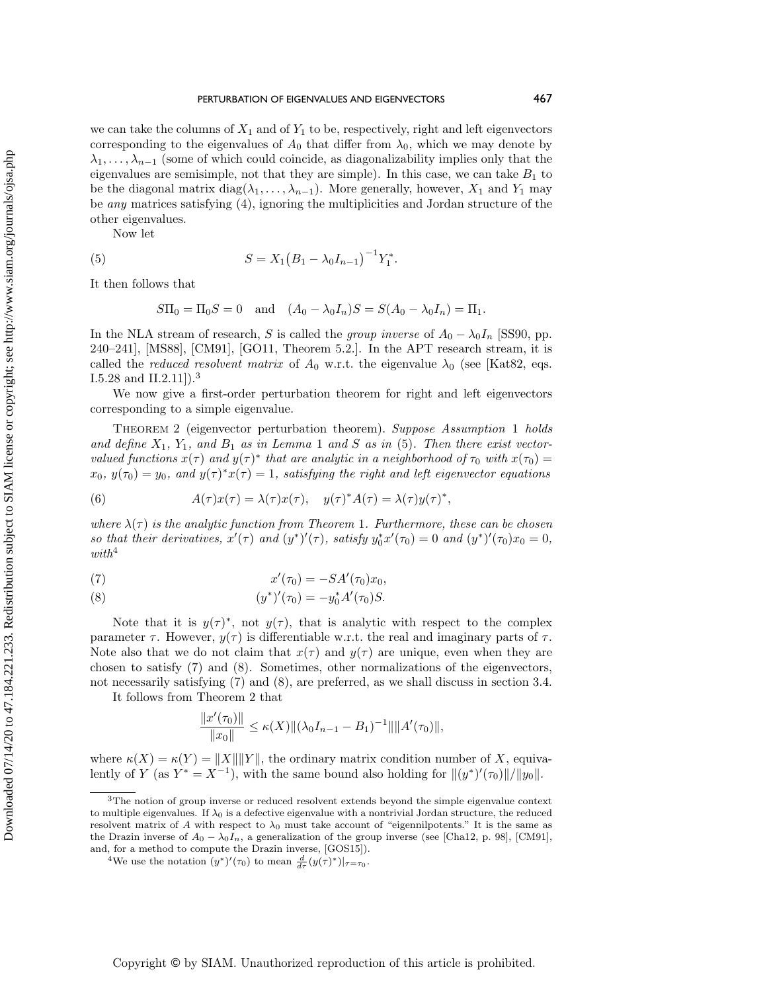we can take the columns of  $X_1$  and of  $Y_1$  to be, respectively, right and left eigenvectors corresponding to the eigenvalues of  $A_0$  that differ from  $\lambda_0$ , which we may denote by  $\lambda_1, \ldots, \lambda_{n-1}$  (some of which could coincide, as diagonalizability implies only that the eigenvalues are semisimple, not that they are simple). In this case, we can take  $B_1$  to be the diagonal matrix  $diag(\lambda_1, \ldots, \lambda_{n-1})$ . More generally, however,  $X_1$  and  $Y_1$  may be any matrices satisfying [\(4\)](#page-3-1), ignoring the multiplicities and Jordan structure of the other eigenvalues.

Now let

(5) 
$$
S = X_1 (B_1 - \lambda_0 I_{n-1})^{-1} Y_1^*.
$$

It then follows that

<span id="page-4-1"></span>
$$
S\Pi_0 = \Pi_0 S = 0 \text{ and } (A_0 - \lambda_0 I_n)S = S(A_0 - \lambda_0 I_n) = \Pi_1.
$$

In the NLA stream of research, S is called the group inverse of  $A_0 - \lambda_0 I_n$  [\[SS90,](#page-19-1) pp.  $240-241$ ], [\[MS88\]](#page-18-10), [\[CM91\]](#page-17-6), [\[GO11,](#page-18-11) Theorem 5.2.]. In the APT research stream, it is called the *reduced resolvent matrix* of  $A_0$  w.r.t. the eigenvalue  $\lambda_0$  (see [\[Kat82,](#page-18-2) eqs. I.5.28 and II.2.11]).[3](#page-4-0)

We now give a first-order perturbation theorem for right and left eigenvectors corresponding to a simple eigenvalue.

<span id="page-4-5"></span>Theorem 2 (eigenvector perturbation theorem). Suppose Assumption [1](#page-2-0) holds and define  $X_1$  $X_1$ ,  $Y_1$ , and  $B_1$  as in Lemma 1 and S as in [\(5\)](#page-4-1). Then there exist vectorvalued functions  $x(\tau )$  and  $y(\tau )^*$  that are analytic in a neighborhood of  $\tau _0$  with  $x(\tau _0 ) =$  $x_0, y(\tau_0) = y_0$ , and  $y(\tau )^* x(\tau ) = 1$ , satisfying the right and left eigenvector equations

<span id="page-4-6"></span>(6) 
$$
A(\tau)x(\tau) = \lambda(\tau)x(\tau), \quad y(\tau)^*A(\tau) = \lambda(\tau)y(\tau)^*,
$$

where  $\lambda (\tau )$  is the analytic function from Theorem [1](#page-2-3). Furthermore, these can be chosen so that their derivatives,  $x'(\tau)$  and  $(y^*)'(\tau)$ , satisfy  $y_0^* x'(\tau_0) = 0$  and  $(y^*)'(\tau_0) x_0 = 0$ ,  $with^4$  $with^4$ 

<span id="page-4-3"></span>(7) 
$$
x'(\tau_0) = -SA'(\tau_0)x_0,
$$

<span id="page-4-4"></span>(8) 
$$
(y^*)'(\tau_0) = -y_0^* A'(\tau_0) S.
$$

Note that it is  $y(\tau )^*$ , not  $y(\tau )$ , that is analytic with respect to the complex parameter  $\tau$ . However,  $y(\tau)$  is differentiable w.r.t. the real and imaginary parts of  $\tau$ . Note also that we do not claim that  $x(\tau )$  and  $y(\tau )$  are unique, even when they are chosen to satisfy [\(7\)](#page-4-3) and [\(8\)](#page-4-4). Sometimes, other normalizations of the eigenvectors, not necessarily satisfying [\(7\)](#page-4-3) and [\(8\)](#page-4-4), are preferred, as we shall discuss in section [3.4.](#page-12-0)

It follows from Theorem [2](#page-4-5) that

$$
\frac{\|x'(\tau_0)\|}{\|x_0\|} \le \kappa(X) \|(\lambda_0 I_{n-1} - B_1)^{-1}\| \|A'(\tau_0)\|,
$$

where  $\kappa (X) = \kappa (Y) = ||X|| ||Y||$ , the ordinary matrix condition number of X, equivalently of Y (as  $Y^* = X^{-1}$ ), with the same bound also holding for  $\|(y^*)'(\tau_0)\|/\|y_0\|$ .

<span id="page-4-0"></span> $3$ The notion of group inverse or reduced resolvent extends beyond the simple eigenvalue context to multiple eigenvalues. If  $\lambda_0$  is a defective eigenvalue with a nontrivial Jordan structure, the reduced resolvent matrix of A with respect to  $\lambda_0$  must take account of "eigennilpotents." It is the same as the Drazin inverse of  $A_0 - \lambda_0 I_n$ , a generalization of the group inverse (see [\[Cha12,](#page-17-4) p. 98], [\[CM91\]](#page-17-6), and, for a method to compute the Drazin inverse, [\[GOS15\]](#page-18-12)).

<span id="page-4-2"></span><sup>&</sup>lt;sup>4</sup>We use the notation  $(y^*)'(\tau_0)$  to mean  $\frac{d}{d\tau}(y(\tau)^*)|_{\tau=\tau_0}$ .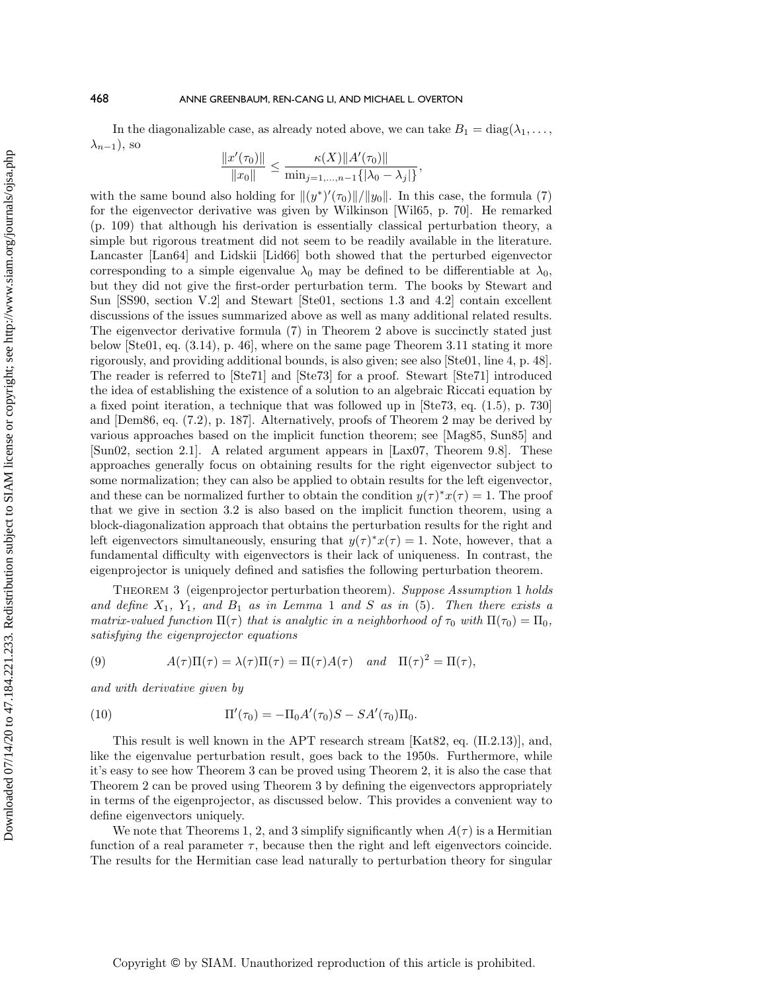In the diagonalizable case, as already noted above, we can take  $B_1 = \text{diag}(\lambda_1, \dots,$  $\lambda_{n-1}$ ), so

$$
\frac{\|x'(\tau_0)\|}{\|x_0\|} \le \frac{\kappa(X)\|A'(\tau_0)\|}{\min_{j=1,\ldots,n-1}\{|\lambda_0-\lambda_j|\}},
$$

with the same bound also holding for  $\|(y^*)'(\tau_0)\|/\|y_0\|$ . In this case, the formula [\(7\)](#page-4-3) for the eigenvector derivative was given by Wilkinson [\[Wil65,](#page-19-0) p. 70]. He remarked (p. 109) that although his derivation is essentially classical perturbation theory, a simple but rigorous treatment did not seem to be readily available in the literature. Lancaster [\[Lan64\]](#page-18-8) and Lidskii [\[Lid66\]](#page-18-9) both showed that the perturbed eigenvector corresponding to a simple eigenvalue  $\lambda_0$  may be defined to be differentiable at  $\lambda_0$ , but they did not give the first-order perturbation term. The books by Stewart and Sun [\[SS90,](#page-19-1) section V.2] and Stewart [\[Ste01,](#page-19-2) sections 1.3 and 4.2] contain excellent discussions of the issues summarized above as well as many additional related results. The eigenvector derivative formula [\(7\)](#page-4-3) in Theorem [2](#page-4-5) above is succinctly stated just below [\[Ste01,](#page-19-2) eq. (3.14), p. 46], where on the same page Theorem 3.11 stating it more rigorously, and providing additional bounds, is also given; see also [\[Ste01,](#page-19-2) line 4, p. 48]. The reader is referred to [\[Ste71\]](#page-19-4) and [\[Ste73\]](#page-19-5) for a proof. Stewart [\[Ste71\]](#page-19-4) introduced the idea of establishing the existence of a solution to an algebraic Riccati equation by a fixed point iteration, a technique that was followed up in [\[Ste73,](#page-19-5) eq. (1.5), p. 730] and [\[Dem86,](#page-17-7) eq. (7.2), p. 187]. Alternatively, proofs of Theorem [2](#page-4-5) may be derived by various approaches based on the implicit function theorem; see [\[Mag85,](#page-18-13) [Sun85\]](#page-19-6) and [\[Sun02,](#page-19-7) section 2.1]. A related argument appears in [\[Lax07,](#page-18-14) Theorem 9.8]. These approaches generally focus on obtaining results for the right eigenvector subject to some normalization; they can also be applied to obtain results for the left eigenvector, and these can be normalized further to obtain the condition  $y(\tau )^* x(\tau ) = 1$ . The proof that we give in section [3.2](#page-7-0) is also based on the implicit function theorem, using a block-diagonalization approach that obtains the perturbation results for the right and left eigenvectors simultaneously, ensuring that  $y(\tau )^* x(\tau ) = 1$ . Note, however, that a fundamental difficulty with eigenvectors is their lack of uniqueness. In contrast, the eigenprojector is uniquely defined and satisfies the following perturbation theorem.

<span id="page-5-0"></span>THEOREM 3 (eigenprojector perturbation theorem). Suppose Assumption [1](#page-2-0) holds and define  $X_1$  $X_1$ ,  $Y_1$ , and  $B_1$  as in Lemma 1 and S as in [\(5\)](#page-4-1). Then there exists a matrix-valued function  $\Pi (\tau )$  that is analytic in a neighborhood of  $\tau _0$  with  $\Pi (\tau _0) = \Pi _0$ , satisfying the eigenprojector equations

<span id="page-5-2"></span>(9) 
$$
A(\tau)\Pi(\tau) = \lambda(\tau)\Pi(\tau) = \Pi(\tau)A(\tau) \quad and \quad \Pi(\tau)^2 = \Pi(\tau),
$$

and with derivative given by

<span id="page-5-1"></span>(10) 
$$
\Pi'(\tau_0) = -\Pi_0 A'(\tau_0) S - S A'(\tau_0) \Pi_0.
$$

This result is well known in the APT research stream [\[Kat82,](#page-18-2) eq. (II.2.13)], and, like the eigenvalue perturbation result, goes back to the 1950s. Furthermore, while it's easy to see how Theorem [3](#page-5-0) can be proved using Theorem [2,](#page-4-5) it is also the case that Theorem [2](#page-4-5) can be proved using Theorem [3](#page-5-0) by defining the eigenvectors appropriately in terms of the eigenprojector, as discussed below. This provides a convenient way to define eigenvectors uniquely.

We note that Theorems [1,](#page-2-3) [2,](#page-4-5) and [3](#page-5-0) simplify significantly when  $A(\tau )$  is a Hermitian function of a real parameter  $\tau$ , because then the right and left eigenvectors coincide. The results for the Hermitian case lead naturally to perturbation theory for singular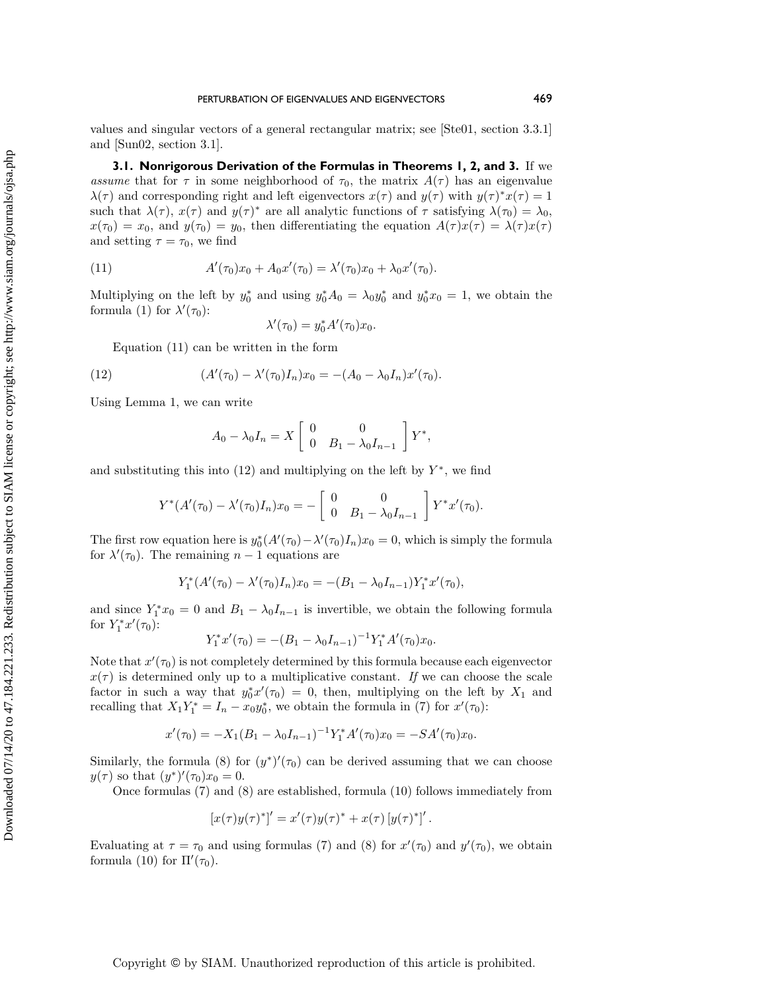values and singular vectors of a general rectangular matrix; see [\[Ste01,](#page-19-2) section 3.3.1] and [\[Sun02,](#page-19-7) section 3.1].

**3.1. Nonrigorous Derivation of the Formulas in Theorems [1,](#page-2-3) [2,](#page-4-5) and [3.](#page-5-0)** If we assume that for  $\tau$  in some neighborhood of  $\tau_0$ , the matrix  $A(\tau )$  has an eigenvalue  $\lambda (\tau )$  and corresponding right and left eigenvectors  $x(\tau )$  and  $y(\tau )$  with  $y(\tau )^* x(\tau ) = 1$ such that  $\lambda (\tau )$ ,  $x(\tau )$  and  $y(\tau )^*$  are all analytic functions of  $\tau$  satisfying  $\lambda (\tau _0 ) = \lambda _0$ ,  $x(\tau_0) = x_0$ , and  $y(\tau_0) = y_0$ , then differentiating the equation  $A(\tau )x(\tau ) = \lambda (\tau )x(\tau )$ and setting  $\tau = \tau_0$ , we find

(11) 
$$
A'(\tau_0)x_0 + A_0x'(\tau_0) = \lambda'(\tau_0)x_0 + \lambda_0x'(\tau_0).
$$

Multiplying on the left by  $y_0^*$  and using  $y_0^* A_0 = \lambda_0 y_0^*$  and  $y_0^* x_0 = 1$ , we obtain the formula [\(1\)](#page-2-2) for  $\lambda'(\tau_0)$ :

<span id="page-6-0"></span>
$$
\lambda'(\tau_0) = y_0^* A'(\tau_0) x_0.
$$

Equation [\(11\)](#page-6-0) can be written in the form

(12) 
$$
(A'(\tau_0) - \lambda'(\tau_0)I_n)x_0 = -(A_0 - \lambda_0 I_n)x'(\tau_0).
$$

Using Lemma [1,](#page-3-2) we can write

<span id="page-6-1"></span>
$$
A_0 - \lambda_0 I_n = X \begin{bmatrix} 0 & 0 \\ 0 & B_1 - \lambda_0 I_{n-1} \end{bmatrix} Y^*,
$$

and substituting this into [\(12\)](#page-6-1) and multiplying on the left by  $Y^*$ , we find

$$
Y^*(A'(\tau_0) - \lambda'(\tau_0)I_n)x_0 = -\begin{bmatrix} 0 & 0 \ 0 & B_1 - \lambda_0 I_{n-1} \end{bmatrix} Y^*x'(\tau_0).
$$

The first row equation here is  $y_0^*(A'(\tau_0) - \lambda'(\tau_0)I_n)x_0 = 0$ , which is simply the formula for  $\lambda'(\tau_0)$ . The remaining  $n - 1$  equations are

$$
Y_1^*(A'(\tau_0) - \lambda'(\tau_0)I_n)x_0 = -(B_1 - \lambda_0I_{n-1})Y_1^*x'(\tau_0),
$$

and since  $Y_1^* x_0 = 0$  and  $B_1 - \lambda_0 I_{n-1}$  is invertible, we obtain the following formula for  $Y_1^* x'(\tau_0)$ :

$$
Y_1^*x'(\tau_0) = -(B_1 - \lambda_0 I_{n-1})^{-1}Y_1^*A'(\tau_0)x_0.
$$

Note that  $x'(\tau_0)$  is not completely determined by this formula because each eigenvector  $x(\tau )$  is determined only up to a multiplicative constant. If we can choose the scale factor in such a way that  $y_0^* x'(\tau_0) = 0$ , then, multiplying on the left by  $X_1$  and recalling that  $X_1 Y_1^* = I_n - x_0 y_0^*$ , we obtain the formula in [\(7\)](#page-4-3) for  $x'(\tau_0)$ :

$$
x'(\tau_0) = -X_1(B_1 - \lambda_0 I_{n-1})^{-1} Y_1^* A'(\tau_0) x_0 = -SA'(\tau_0) x_0.
$$

Similarly, the formula [\(8\)](#page-4-4) for  $(y^*)'(\tau_0)$  can be derived assuming that we can choose  $y(\tau )$  so that  $(y^*)'(\tau_0)x_0 = 0.$ 

Once formulas [\(7\)](#page-4-3) and [\(8\)](#page-4-4) are established, formula [\(10\)](#page-5-1) follows immediately from

$$
[x(\tau)y(\tau)^*]' = x'(\tau)y(\tau)^* + x(\tau)[y(\tau)^*]'.
$$

Evaluating at  $\tau = \tau_0$  and using formulas [\(7\)](#page-4-3) and [\(8\)](#page-4-4) for  $x'(\tau_0)$  and  $y'(\tau_0)$ , we obtain formula [\(10\)](#page-5-1) for  $\Pi'(\tau_0)$ .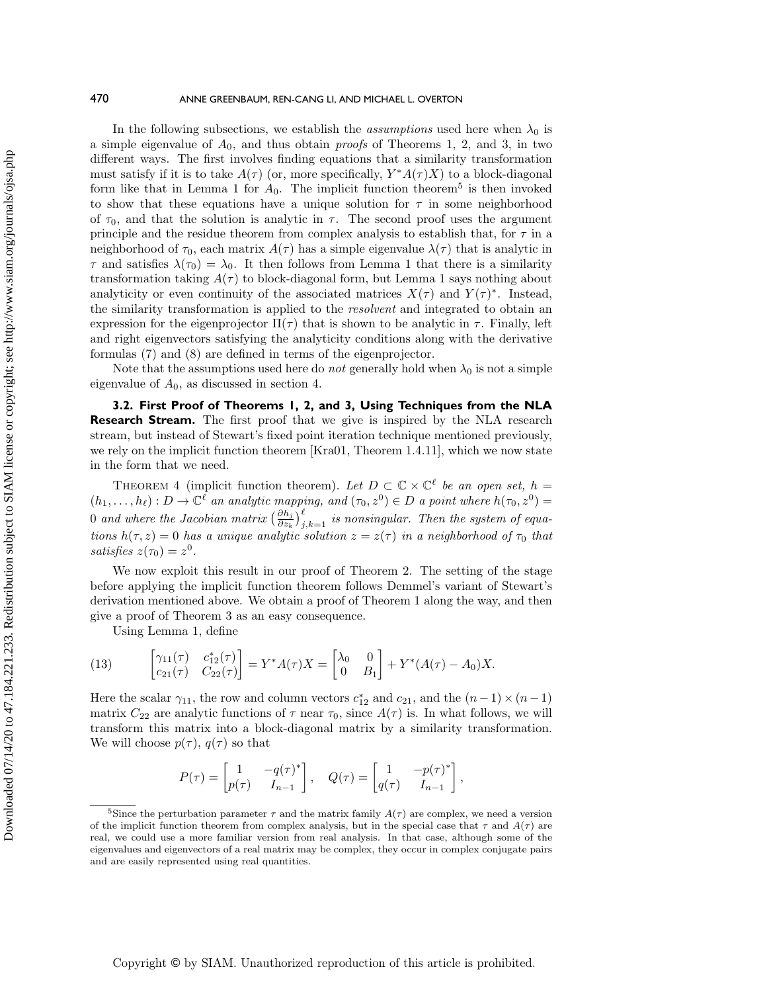In the following subsections, we establish the *assumptions* used here when  $\lambda_0$  is a simple eigenvalue of  $A_0$ , and thus obtain *proofs* of Theorems [1,](#page-2-3) [2,](#page-4-5) and [3,](#page-5-0) in two different ways. The first involves finding equations that a similarity transformation must satisfy if it is to take  $A(\tau )$  (or, more specifically,  $Y^*A(\tau )X$ ) to a block-diagonal form like that in Lemma [1](#page-3-2) for  $A_0$ . The implicit function theorem<sup>[5](#page-7-1)</sup> is then invoked to show that these equations have a unique solution for  $\tau$  in some neighborhood of  $\tau_0$ , and that the solution is analytic in  $\tau$ . The second proof uses the argument principle and the residue theorem from complex analysis to establish that, for  $\tau$  in a neighborhood of  $\tau_0$ , each matrix  $A(\tau)$  has a simple eigenvalue  $\lambda (\tau )$  that is analytic in  $\tau$  and satisfies  $\lambda (\tau_0) = \lambda_0$ . It then follows from Lemma [1](#page-3-2) that there is a similarity transformation taking  $A(\tau )$  to block-diagonal form, but Lemma [1](#page-3-2) says nothing about analyticity or even continuity of the associated matrices  $X(\tau )$  and  $Y(\tau )^*$ . Instead, the similarity transformation is applied to the resolvent and integrated to obtain an expression for the eigenprojector  $\Pi (\tau )$  that is shown to be analytic in  $\tau$ . Finally, left and right eigenvectors satisfying the analyticity conditions along with the derivative formulas [\(7\)](#page-4-3) and [\(8\)](#page-4-4) are defined in terms of the eigenprojector.

Note that the assumptions used here do *not* generally hold when  $\lambda_0$  is not a simple eigenvalue of  $A_0$ , as discussed in section [4.](#page-15-0)

<span id="page-7-0"></span>**3.2. First Proof of Theorems [1,](#page-2-3) [2,](#page-4-5) and [3,](#page-5-0) Using Techniques from the NLA Research Stream.** The first proof that we give is inspired by the NLA research stream, but instead of Stewart's fixed point iteration technique mentioned previously, we rely on the implicit function theorem [\[Kra01,](#page-18-15) Theorem 1.4.11], which we now state in the form that we need.

<span id="page-7-2"></span>THEOREM 4 (implicit function theorem). Let  $D \subset \mathbb{C} \times \mathbb{C}^{\ell}$  be an open set,  $h =$  $(h_1, \ldots, h_\ell) : D \rightarrow \mathbb{C}^{\ell}$  an analytic mapping, and  $(\tau_0, z^0) \in D$  a point where  $h(\tau_0, z^0) =$  $0$  and where the Jacobian matrix  $\bigl( \frac{\partial h_j}{\partial z_k} \bigr)_{j,k=1}^\ell$  is nonsingular. Then the system of equations  $h(\tau , z) = 0$  has a unique analytic solution  $z = z(\tau )$  in a neighborhood of  $\tau_0$  that satisfies  $z(\tau_0) = z^0$ .

We now exploit this result in our proof of Theorem [2.](#page-4-5) The setting of the stage before applying the implicit function theorem follows Demmel's variant of Stewart's derivation mentioned above. We obtain a proof of Theorem [1](#page-2-3) along the way, and then give a proof of Theorem [3](#page-5-0) as an easy consequence.

<span id="page-7-3"></span>Using Lemma [1,](#page-3-2) define

(13) 
$$
\begin{bmatrix} \gamma_{11}(\tau) & c_{12}^*(\tau) \\ c_{21}(\tau) & C_{22}(\tau) \end{bmatrix} = Y^* A(\tau) X = \begin{bmatrix} \lambda_0 & 0 \\ 0 & B_1 \end{bmatrix} + Y^* (A(\tau) - A_0) X.
$$

Here the scalar  $\gamma_{11}$ , the row and column vectors  $c_{12}^*$  and  $c_{21}$ , and the  $(n - 1) \times (n - 1)$ matrix  $C_{22}$  are analytic functions of  $\tau$  near  $\tau_0$ , since  $A(\tau )$  is. In what follows, we will transform this matrix into a block-diagonal matrix by a similarity transformation. We will choose  $p(\tau )$ ,  $q(\tau )$  so that

$$
P(\tau) = \begin{bmatrix} 1 & -q(\tau)^* \\ p(\tau) & I_{n-1} \end{bmatrix}, \quad Q(\tau) = \begin{bmatrix} 1 & -p(\tau)^* \\ q(\tau) & I_{n-1} \end{bmatrix}
$$

,

<span id="page-7-1"></span><sup>&</sup>lt;sup>5</sup>Since the perturbation parameter  $\tau$  and the matrix family  $A(\tau )$  are complex, we need a version of the implicit function theorem from complex analysis, but in the special case that  $\tau$  and  $A(\tau )$  are real, we could use a more familiar version from real analysis. In that case, although some of the eigenvalues and eigenvectors of a real matrix may be complex, they occur in complex conjugate pairs and are easily represented using real quantities.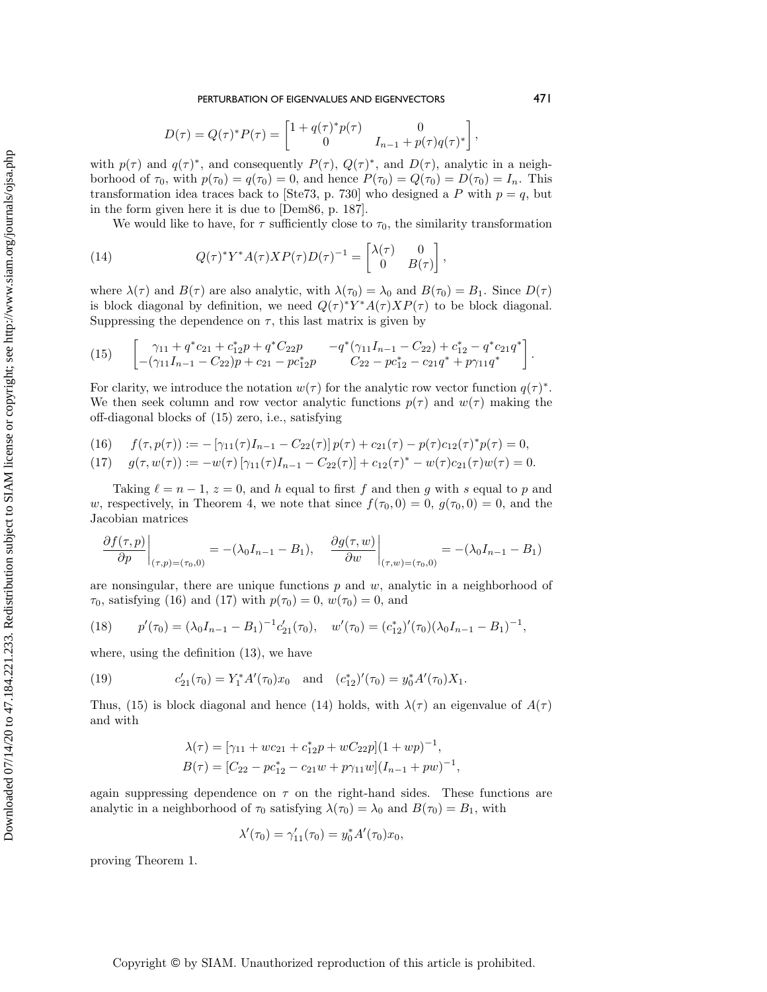Downloaded 07/14/20 to 47.184.221.233. Redistribution subject to SIAM license or copyright; see http://www.siam.org/journals/ojsa.php Downloaded 07/14/20 to 47.184.221.233. Redistribution subject to SIAM license or copyright; see http://www.siam.org/journals/ojsa.php PERTURBATION OF EIGENVALUES AND EIGENVECTORS 471

$$
D(\tau) = Q(\tau)^* P(\tau) = \begin{bmatrix} 1 + q(\tau)^* p(\tau) & 0 \\ 0 & I_{n-1} + p(\tau) q(\tau)^* \end{bmatrix},
$$

with  $p(\tau )$  and  $q(\tau )^*$ , and consequently  $P(\tau )$ ,  $Q(\tau )^*$ , and  $D(\tau )$ , analytic in a neighborhood of  $\tau_0$ , with  $p(\tau_0) = q(\tau_0) = 0$ , and hence  $P(\tau_0) = Q(\tau_0) = D(\tau_0) = I_n$ . This transformation idea traces back to [\[Ste73,](#page-19-5) p. 730] who designed a P with  $p = q$ , but in the form given here it is due to [\[Dem86,](#page-17-7) p. 187].

<span id="page-8-3"></span>We would like to have, for  $\tau$  sufficiently close to  $\tau_0$ , the similarity transformation

,

(14) 
$$
Q(\tau)^* Y^* A(\tau) X P(\tau) D(\tau)^{-1} = \begin{bmatrix} \lambda(\tau) & 0\\ 0 & B(\tau) \end{bmatrix}
$$

where  $\lambda (\tau )$  and  $B(\tau )$  are also analytic, with  $\lambda (\tau _0) = \lambda _0$  and  $B(\tau _ 0) = B_1$ . Since  $D(\tau )$ is block diagonal by definition, we need  $Q(\tau )^* Y^* A(\tau )XP(\tau )$  to be block diagonal. Suppressing the dependence on  $\tau$ , this last matrix is given by

<span id="page-8-0"></span>
$$
(15) \qquad \begin{bmatrix} \gamma_{11} + q^*c_{21} + c_{12}^*p + q^*C_{22}p & -q^*(\gamma_{11}I_{n-1} - C_{22}) + c_{12}^* - q^*c_{21}q^* \\ -( \gamma_{11}I_{n-1} - C_{22})p + c_{21} - pc_{12}^*p & C_{22} - pc_{12}^* - c_{21}q^* + p\gamma_{11}q^* \end{bmatrix}.
$$

For clarity, we introduce the notation  $w(\tau )$  for the analytic row vector function  $q(\tau )^*$ . We then seek column and row vector analytic functions  $p(\tau )$  and  $w(\tau )$  making the off-diagonal blocks of [\(15\)](#page-8-0) zero, i.e., satisfying

<span id="page-8-1"></span>(16) 
$$
f(\tau, p(\tau)) := -[\gamma_{11}(\tau)I_{n-1} - C_{22}(\tau)] p(\tau) + c_{21}(\tau) - p(\tau)c_{12}(\tau)^* p(\tau) = 0,
$$

<span id="page-8-2"></span>(17) 
$$
g(\tau, w(\tau)) := -w(\tau) \left[ \gamma_{11}(\tau) I_{n-1} - C_{22}(\tau) \right] + c_{12}(\tau)^* - w(\tau) c_{21}(\tau) w(\tau) = 0.
$$

Taking  $\ell = n - 1$ ,  $z = 0$ , and h equal to first f and then g with s equal to p and w, respectively, in Theorem [4,](#page-7-2) we note that since  $f(\tau_0, 0) = 0$ ,  $g(\tau_0, 0) = 0$ , and the Jacobian matrices

$$
\left. \frac{\partial f(\tau, p)}{\partial p} \right|_{(\tau, p) = (\tau_0, 0)} = -(\lambda_0 I_{n-1} - B_1), \quad \left. \frac{\partial g(\tau, w)}{\partial w} \right|_{(\tau, w) = (\tau_0, 0)} = -(\lambda_0 I_{n-1} - B_1)
$$

are nonsingular, there are unique functions  $p$  and  $w$ , analytic in a neighborhood of  $\tau_0$ , satisfying [\(16\)](#page-8-1) and [\(17\)](#page-8-2) with  $p(\tau_0) = 0$ ,  $w(\tau_0) = 0$ , and

<span id="page-8-4"></span>(18) 
$$
p'(\tau_0) = (\lambda_0 I_{n-1} - B_1)^{-1} c'_{21}(\tau_0), \quad w'(\tau_0) = (c^*_{12})'(\tau_0) (\lambda_0 I_{n-1} - B_1)^{-1},
$$

where, using the definition [\(13\)](#page-7-3), we have

(19) 
$$
c'_{21}(\tau_0) = Y_1^* A'(\tau_0) x_0 \text{ and } (c_{12}^*)'(\tau_0) = y_0^* A'(\tau_0) X_1.
$$

Thus, [\(15\)](#page-8-0) is block diagonal and hence [\(14\)](#page-8-3) holds, with  $\lambda (\tau )$  an eigenvalue of  $A(\tau )$ and with

<span id="page-8-5"></span>
$$
\lambda(\tau) = [\gamma_{11} + wc_{21} + c_{12}^* p + wC_{22}p](1 + wp)^{-1},
$$
  
\n
$$
B(\tau) = [C_{22} - pc_{12}^* - c_{21}w + p\gamma_{11}w](I_{n-1} + pw)^{-1},
$$

again suppressing dependence on  $\tau$  on the right-hand sides. These functions are analytic in a neighborhood of  $\tau_0$  satisfying  $\lambda (\tau_0) = \lambda_0$  and  $B(\tau_0) = B_1$ , with

$$
\lambda'(\tau_0) = \gamma'_{11}(\tau_0) = y_0^* A'(\tau_0) x_0,
$$

proving Theorem [1.](#page-2-3)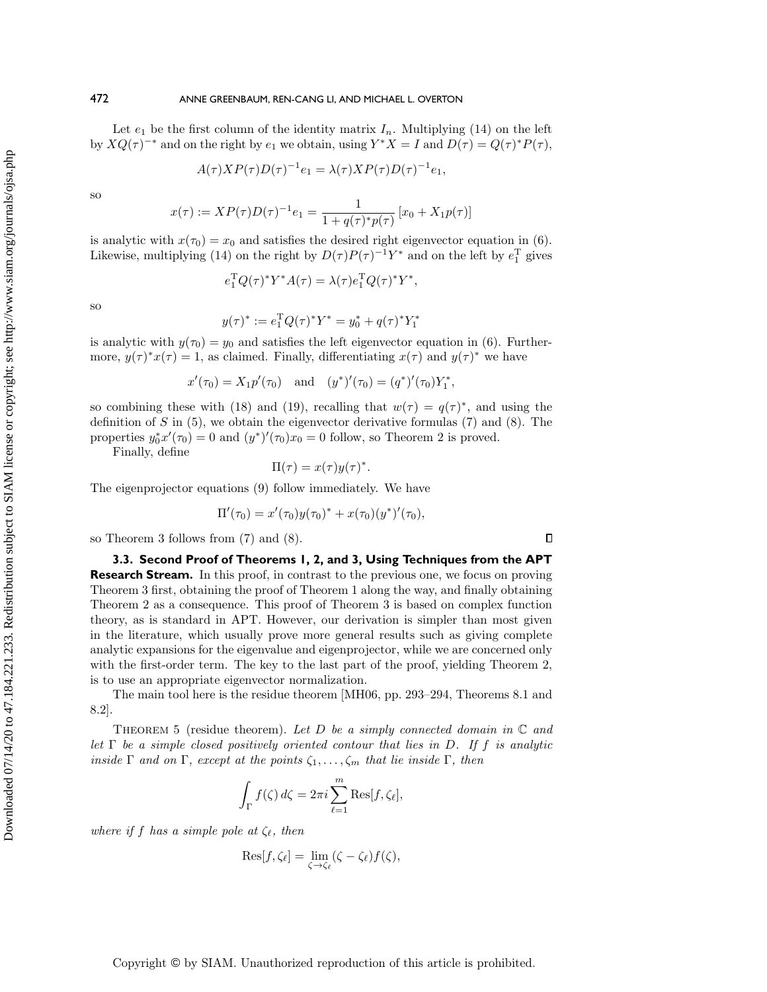Let  $e_1$  be the first column of the identity matrix  $I_n$ . Multiplying [\(14\)](#page-8-3) on the left by  $XQ(\tau )^{-*}$  and on the right by  $e_1$  we obtain, using  $Y^*X = I$  and  $D(\tau ) = Q(\tau )^*P(\tau )$ ,

$$
A(\tau)XP(\tau)D(\tau)^{-1}e_1 = \lambda(\tau)XP(\tau)D(\tau)^{-1}e_1,
$$

so

$$
x(\tau) := XP(\tau)D(\tau)^{-1}e_1 = \frac{1}{1 + q(\tau)^* p(\tau)} [x_0 + X_1 p(\tau)]
$$

is analytic with  $x(\tau_0) = x_0$  and satisfies the desired right eigenvector equation in [\(6\)](#page-4-6). Likewise, multiplying [\(14\)](#page-8-3) on the right by  $D(\tau )P(\tau )^{-1}Y^*$  and on the left by  $e_1^T$  gives

$$
e_1^{\mathrm{T}} Q(\tau)^* Y^* A(\tau) = \lambda(\tau) e_1^{\mathrm{T}} Q(\tau)^* Y^*,
$$

so

Downloaded 07/14/20 to 47.184.221.233. Redistribution subject to SIAM license or copyright; see http://www.siam.org/journals/ojsa.php Downloaded 07/14/20 to 47.184.221.233. Redistribution subject to SIAM license or copyright; see http://www.siam.org/journals/ojsa.php

$$
y(\tau)^* := e_1^{\mathrm{T}} Q(\tau)^* Y^* = y_0^* + q(\tau)^* Y_1^*
$$

is analytic with  $y(\tau_0) = y_0$  and satisfies the left eigenvector equation in [\(6\)](#page-4-6). Furthermore,  $y(\tau )^* x(\tau ) = 1$ , as claimed. Finally, differentiating  $x(\tau )$  and  $y(\tau )^*$  we have

$$
x'(\tau_0) = X_1 p'(\tau_0)
$$
 and  $(y^*)'(\tau_0) = (q^*)'(\tau_0) Y_1^*$ ,

so combining these with [\(18\)](#page-8-4) and [\(19\)](#page-8-5), recalling that  $w(\tau ) = q(\tau )^*$ , and using the definition of S in  $(5)$ , we obtain the eigenvector derivative formulas  $(7)$  and  $(8)$ . The properties  $y_0^* x'(\tau_0) = 0$  and  $(y^*)'(\tau_0) x_0 = 0$  follow, so Theorem [2](#page-4-5) is proved.

Finally, define

$$
\Pi(\tau) = x(\tau) y(\tau)^*.
$$

The eigenprojector equations [\(9\)](#page-5-2) follow immediately. We have

$$
\Pi'(\tau_0) = x'(\tau_0) y(\tau_0)^* + x(\tau_0) (y^*)'(\tau_0),
$$

 $\Box$ 

so Theorem [3](#page-5-0) follows from [\(7\)](#page-4-3) and [\(8\)](#page-4-4).

<span id="page-9-0"></span>**3.3. Second Proof of Theorems [1,](#page-2-3) [2,](#page-4-5) and [3,](#page-5-0) Using Techniques from the APT Research Stream.** In this proof, in contrast to the previous one, we focus on proving Theorem [3](#page-5-0) first, obtaining the proof of Theorem [1](#page-2-3) along the way, and finally obtaining Theorem [2](#page-4-5) as a consequence. This proof of Theorem [3](#page-5-0) is based on complex function theory, as is standard in APT. However, our derivation is simpler than most given in the literature, which usually prove more general results such as giving complete analytic expansions for the eigenvalue and eigenprojector, while we are concerned only with the first-order term. The key to the last part of the proof, yielding Theorem [2,](#page-4-5) is to use an appropriate eigenvector normalization.

The main tool here is the residue theorem [\[MH06,](#page-18-16) pp. 293–294, Theorems 8.1 and 8.2].

THEOREM 5 (residue theorem). Let D be a simply connected domain in  $\Bbb C$  and let  $\Gamma$  be a simple closed positively oriented contour that lies in D. If f is analytic inside  $\Gamma$  and on  $\Gamma$ , except at the points  $\zeta_1, \ldots, \zeta_m$  that lie inside  $\Gamma$ , then

$$
\int_{\Gamma} f(\zeta) d\zeta = 2\pi i \sum_{\ell=1}^{m} \text{Res}[f, \zeta_{\ell}],
$$

where if f has a simple pole at  $\zeta_{\ell}$ , then

$$
\mathrm{Res}[f,\zeta_{\ell}] = \lim_{\zeta \to \zeta_{\ell}} (\zeta - \zeta_{\ell}) f(\zeta),
$$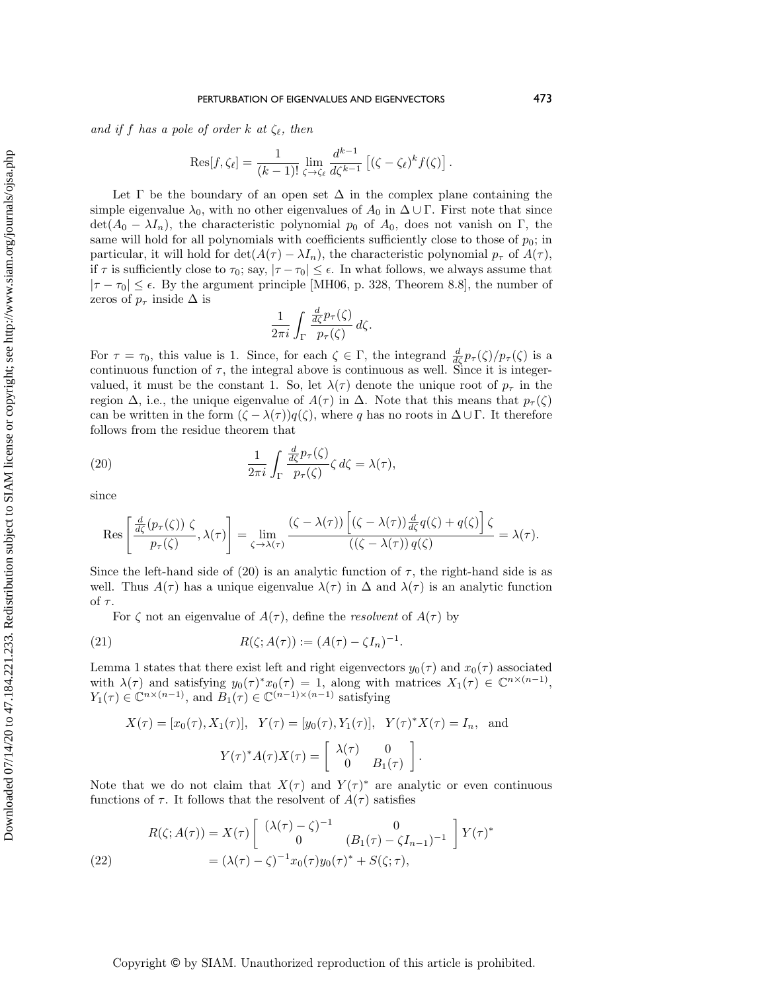and if f has a pole of order k at  $\zeta_{\ell}$ , then

$$
\text{Res}[f,\zeta_{\ell}] = \frac{1}{(k-1)!} \lim_{\zeta \to \zeta_{\ell}} \frac{d^{k-1}}{d\zeta^{k-1}} \left[ (\zeta - \zeta_{\ell})^k f(\zeta) \right].
$$

Let  $\Gamma$  be the boundary of an open set  $\Delta$  in the complex plane containing the simple eigenvalue  $\lambda_0$ , with no other eigenvalues of  $A_0$  in  $\Delta \cup \Gamma$ . First note that since  $\det(A_0 - \lambda I_n)$ , the characteristic polynomial  $p_0$  of  $A_0$ , does not vanish on  $\Gamma$ , the same will hold for all polynomials with coefficients sufficiently close to those of  $p_0$ ; in particular, it will hold for det $(A(\tau ) - \lambda I_n)$ , the characteristic polynomial  $p_\tau$  of  $A(\tau )$ , if  $\tau$  is sufficiently close to  $\tau_0$ ; say,  $| \tau - \tau_0 | \leq \epsilon$ . In what follows, we always assume that  $|\tau - \tau_0| \leq \epsilon$ . By the argument principle [\[MH06,](#page-18-16) p. 328, Theorem 8.8], the number of zeros of  $p_\tau$  inside  $\Delta$  is

<span id="page-10-0"></span>
$$
\frac{1}{2\pi i} \int_{\Gamma} \frac{\frac{d}{d\zeta} p_{\tau}(\zeta)}{p_{\tau}(\zeta)} d\zeta.
$$

For  $\tau = \tau_0$ , this value is 1. Since, for each  $\zeta \in \Gamma$ , the integrand  $\frac{d}{d\zeta}p_\tau(\zeta)/p_\tau(\zeta)$  is a continuous function of  $\tau$ , the integral above is continuous as well. Since it is integervalued, it must be the constant 1. So, let  $\lambda (\tau )$  denote the unique root of  $p_\tau$  in the region  $\Delta$ , i.e., the unique eigenvalue of  $A(\tau )$  in  $\Delta$ . Note that this means that  $p_\tau (\zeta )$ can be written in the form  $(\zeta - \lambda (\tau ))q(\zeta )$ , where q has no roots in  $\Delta \cup \Gamma$ . It therefore follows from the residue theorem that

(20) 
$$
\frac{1}{2\pi i} \int_{\Gamma} \frac{\frac{d}{d\zeta} p_{\tau}(\zeta)}{p_{\tau}(\zeta)} \zeta d\zeta = \lambda(\tau),
$$

since

$$
\operatorname{Res}\left[\frac{\frac{d}{d\zeta}(p_{\tau}(\zeta))\zeta}{p_{\tau}(\zeta)},\lambda(\tau)\right]=\lim_{\zeta\to\lambda(\tau)}\frac{(\zeta-\lambda(\tau))\left[(\zeta-\lambda(\tau))\frac{d}{d\zeta}q(\zeta)+q(\zeta)\right]\zeta}{((\zeta-\lambda(\tau))q(\zeta)}=\lambda(\tau).
$$

Since the left-hand side of [\(20\)](#page-10-0) is an analytic function of  $\tau$ , the right-hand side is as well. Thus  $A(\tau )$  has a unique eigenvalue  $\lambda (\tau )$  in  $\Delta$  and  $\lambda (\tau )$  is an analytic function of  $\tau$ .

<span id="page-10-2"></span>For  $\zeta$  not an eigenvalue of  $A(\tau )$ , define the *resolvent* of  $A(\tau )$  by

(21) 
$$
R(\zeta; A(\tau)) := (A(\tau) - \zeta I_n)^{-1}.
$$

Lemma [1](#page-3-2) states that there exist left and right eigenvectors  $y_0(\tau)$  and  $x_0(\tau)$  associated with  $\lambda (\tau )$  and satisfying  $y_0(\tau )^* x_0(\tau ) = 1$ , along with matrices  $X_1(\tau ) \in \Bbb C^{n \times (n - 1)}$ ,  $Y_1(\tau ) \in \mathbb C^{n \times (n-1)}$ , and  $B_1(\tau ) \in \mathbb C^{(n-1)\times (n-1)}$  satisfying

$$
X(\tau) = [x_0(\tau), X_1(\tau)], \quad Y(\tau) = [y_0(\tau), Y_1(\tau)], \quad Y(\tau)^* X(\tau) = I_n, \quad \text{and}
$$

$$
Y(\tau)^* A(\tau) X(\tau) = \begin{bmatrix} \lambda(\tau) & 0 \\ 0 & B_1(\tau) \end{bmatrix}.
$$

Note that we do not claim that  $X(\tau )$  and  $Y(\tau )^*$  are analytic or even continuous functions of  $\tau$ . It follows that the resolvent of  $A(\tau )$  satisfies

<span id="page-10-1"></span>(22) 
$$
R(\zeta; A(\tau)) = X(\tau) \begin{bmatrix} (\lambda(\tau) - \zeta)^{-1} & 0 \\ 0 & (B_1(\tau) - \zeta I_{n-1})^{-1} \end{bmatrix} Y(\tau)^*
$$

$$
= (\lambda(\tau) - \zeta)^{-1} x_0(\tau) y_0(\tau)^* + S(\zeta; \tau),
$$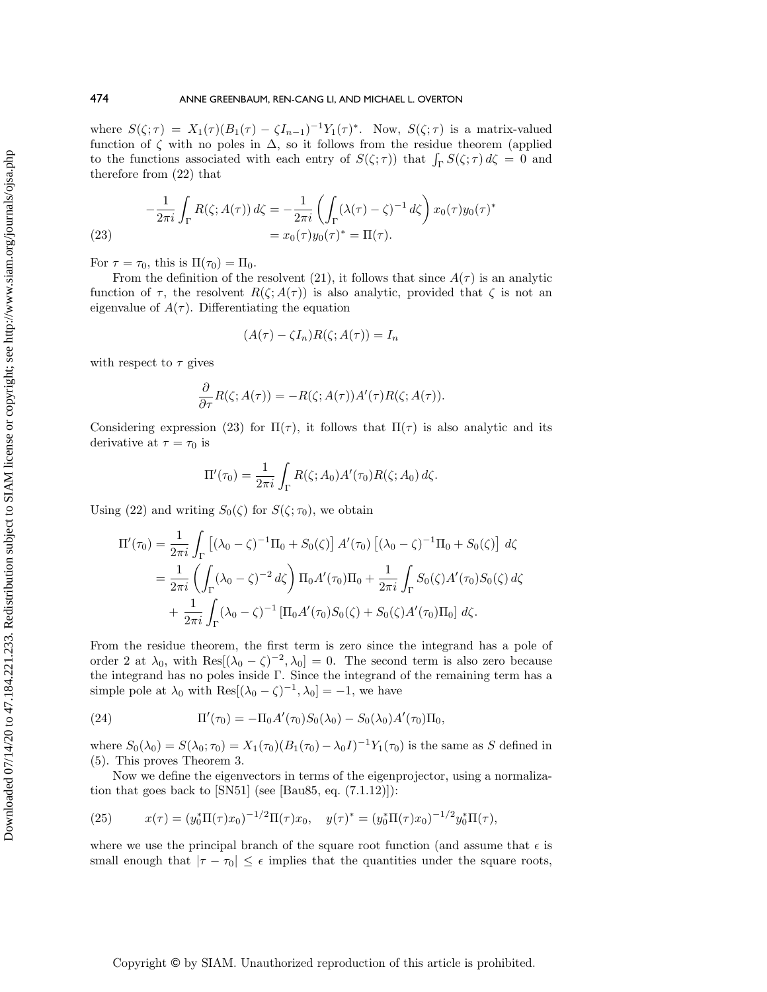where  $S(\zeta ; \tau ) = X_1(\tau ) (B_1(\tau ) - \zeta I_{n-1})^{-1} Y_1(\tau )^*$ . Now,  $S(\zeta ; \tau )$  is a matrix-valued function of  $\zeta$  with no poles in  $\Delta$ , so it follows from the residue theorem (applied to the functions associated with each entry of  $S(\zeta ; \tau)$ ) that  $\int_{\Gamma} S(\zeta ; \tau) d\zeta = 0$  and therefore from [\(22\)](#page-10-1) that

<span id="page-11-0"></span>(23) 
$$
-\frac{1}{2\pi i} \int_{\Gamma} R(\zeta; A(\tau)) d\zeta = -\frac{1}{2\pi i} \left( \int_{\Gamma} (\lambda(\tau) - \zeta)^{-1} d\zeta \right) x_0(\tau) y_0(\tau)^*
$$

$$
= x_0(\tau) y_0(\tau)^* = \Pi(\tau).
$$

For  $\tau = \tau_0$ , this is  $\Pi (\tau_0) = \Pi_0$ .

From the definition of the resolvent [\(21\)](#page-10-2), it follows that since  $A(\tau )$  is an analytic function of  $\tau$ , the resolvent  $R(\zeta; A(\tau))$  is also analytic, provided that  $\zeta$  is not an eigenvalue of  $A(\tau )$ . Differentiating the equation

$$
(A(\tau) - \zeta I_n)R(\zeta; A(\tau)) = I_n
$$

with respect to  $\tau$  gives

$$
\frac{\partial}{\partial \tau} R(\zeta; A(\tau)) = -R(\zeta; A(\tau))A'(\tau)R(\zeta; A(\tau)).
$$

Considering expression [\(23\)](#page-11-0) for  $\Pi (\tau )$ , it follows that  $\Pi (\tau )$  is also analytic and its derivative at  $\tau = \tau_0$  is

$$
\Pi'(\tau_0) = \frac{1}{2\pi i} \int_{\Gamma} R(\zeta; A_0) A'(\tau_0) R(\zeta; A_0) d\zeta.
$$

Using [\(22\)](#page-10-1) and writing  $S_0(\zeta)$  for  $S(\zeta; \tau_0)$ , we obtain

$$
\Pi'(\tau_0) = \frac{1}{2\pi i} \int_{\Gamma} \left[ (\lambda_0 - \zeta)^{-1} \Pi_0 + S_0(\zeta) \right] A'(\tau_0) \left[ (\lambda_0 - \zeta)^{-1} \Pi_0 + S_0(\zeta) \right] d\zeta
$$
  
= 
$$
\frac{1}{2\pi i} \left( \int_{\Gamma} (\lambda_0 - \zeta)^{-2} d\zeta \right) \Pi_0 A'(\tau_0) \Pi_0 + \frac{1}{2\pi i} \int_{\Gamma} S_0(\zeta) A'(\tau_0) S_0(\zeta) d\zeta
$$
  
+ 
$$
\frac{1}{2\pi i} \int_{\Gamma} (\lambda_0 - \zeta)^{-1} \left[ \Pi_0 A'(\tau_0) S_0(\zeta) + S_0(\zeta) A'(\tau_0) \Pi_0 \right] d\zeta.
$$

From the residue theorem, the first term is zero since the integrand has a pole of order 2 at  $\lambda_0$ , with Res[ $(\lambda_0 - \zeta )^{-2}, \lambda_0$ ] = 0. The second term is also zero because the integrand has no poles inside  $\Gamma$ . Since the integrand of the remaining term has a simple pole at  $\lambda_0$  with Res $[(\lambda_0 - \zeta )^{-1}, \lambda_0] = -1$ , we have

(24) 
$$
\Pi'(\tau_0) = -\Pi_0 A'(\tau_0) S_0(\lambda_0) - S_0(\lambda_0) A'(\tau_0) \Pi_0,
$$

where  $S_0(\lambda_0) = S(\lambda_0; \tau_0) = X_1(\tau_0)(B_1(\tau_0) - \lambda_0 I)^{-1} Y_1(\tau_0)$  is the same as S defined in [\(5\)](#page-4-1). This proves Theorem [3.](#page-5-0)

Now we define the eigenvectors in terms of the eigenprojector, using a normalization that goes back to  $[SN51]$  (see  $[Bau85, eq. (7.1.12)]$ ):

<span id="page-11-1"></span>(25) 
$$
x(\tau) = (y_0^* \Pi(\tau) x_0)^{-1/2} \Pi(\tau) x_0, \quad y(\tau)^* = (y_0^* \Pi(\tau) x_0)^{-1/2} y_0^* \Pi(\tau),
$$

where we use the principal branch of the square root function (and assume that  $\epsilon$  is small enough that  $| \tau - \tau_0 | \leq \epsilon$  implies that the quantities under the square roots,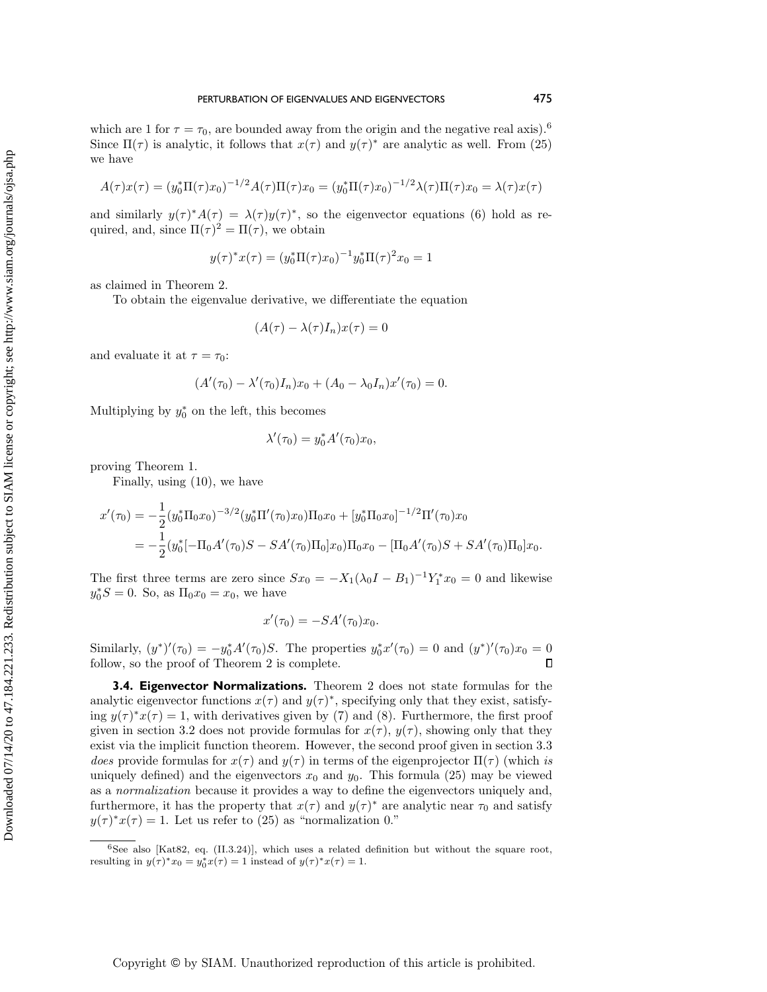which are 1 for  $\tau = \tau_0$ , are bounded away from the origin and the negative real axis).<sup>[6](#page-12-1)</sup> Since  $\Pi (\tau )$  is analytic, it follows that  $x(\tau )$  and  $y(\tau )^*$  are analytic as well. From [\(25\)](#page-11-1) we have

$$
A(\tau)x(\tau) = (y_0^* \Pi(\tau)x_0)^{-1/2} A(\tau) \Pi(\tau)x_0 = (y_0^* \Pi(\tau)x_0)^{-1/2} \lambda(\tau) \Pi(\tau)x_0 = \lambda(\tau)x(\tau)
$$

and similarly  $y(\tau )^* A(\tau ) = \lambda (\tau )y(\tau )^*$ , so the eigenvector equations [\(6\)](#page-4-6) hold as required, and, since  $\Pi (\tau )^2 = \Pi (\tau )$ , we obtain

$$
y(\tau)^* x(\tau) = (y_0^* \Pi(\tau) x_0)^{-1} y_0^* \Pi(\tau)^2 x_0 = 1
$$

as claimed in Theorem [2.](#page-4-5)

To obtain the eigenvalue derivative, we differentiate the equation

$$
(A(\tau) - \lambda(\tau)I_n)x(\tau) = 0
$$

and evaluate it at  $\tau = \tau_0$ :

$$
(A'(\tau_0) - \lambda'(\tau_0)I_n)x_0 + (A_0 - \lambda_0 I_n)x'(\tau_0) = 0.
$$

Multiplying by  $y_0^*$  on the left, this becomes

$$
\lambda'(\tau_0) = y_0^* A'(\tau_0) x_0,
$$

proving Theorem [1.](#page-2-3)

Finally, using [\(10\)](#page-5-1), we have

$$
x'(\tau_0) = -\frac{1}{2} (y_0^* \Pi_0 x_0)^{-3/2} (y_0^* \Pi'(\tau_0) x_0) \Pi_0 x_0 + [y_0^* \Pi_0 x_0]^{-1/2} \Pi'(\tau_0) x_0
$$
  
= 
$$
-\frac{1}{2} (y_0^* [-\Pi_0 A'(\tau_0)S - SA'(\tau_0) \Pi_0] x_0) \Pi_0 x_0 - [\Pi_0 A'(\tau_0)S + SA'(\tau_0) \Pi_0] x_0.
$$

The first three terms are zero since  $Sx_0 = -X_1(\lambda_0I - B_1)^{-1}Y_1^*x_0 = 0$  and likewise  $y_0^* S = 0$ . So, as  $\Pi_0 x_0 = x_0$ , we have

$$
x'(\tau_0) = -SA'(\tau_0)x_0.
$$

Similarly,  $(y^*)'(\tau_0) = -y_0^* A'(\tau_0)S$ . The properties  $y_0^* x'(\tau_0) = 0$  and  $(y^*)'(\tau_0) x_0 = 0$  $\Box$ follow, so the proof of Theorem [2](#page-4-5) is complete.

<span id="page-12-0"></span>**3.4. Eigenvector Normalizations.** Theorem [2](#page-4-5) does not state formulas for the analytic eigenvector functions  $x(\tau )$  and  $y(\tau )^*$ , specifying only that they exist, satisfying  $y(\tau )^* x(\tau ) = 1$ , with derivatives given by [\(7\)](#page-4-3) and [\(8\)](#page-4-4). Furthermore, the first proof given in section [3.2](#page-7-0) does not provide formulas for  $x(\tau )$ ,  $y(\tau )$ , showing only that they exist via the implicit function theorem. However, the second proof given in section [3.3](#page-9-0) does provide formulas for  $x(\tau )$  and  $y(\tau )$  in terms of the eigenprojector  $\Pi (\tau )$  (which is uniquely defined) and the eigenvectors  $x_0$  and  $y_0$ . This formula [\(25\)](#page-11-1) may be viewed as a normalization because it provides a way to define the eigenvectors uniquely and, furthermore, it has the property that  $x(\tau )$  and  $y(\tau )^*$  are analytic near  $\tau _0$  and satisfy  $y(\tau )^* x(\tau ) = 1$ . Let us refer to [\(25\)](#page-11-1) as "normalization 0."

<span id="page-12-1"></span> $6$ See also [\[Kat82,](#page-18-2) eq. (II.3.24)], which uses a related definition but without the square root, resulting in  $y(\tau )^* x_0 = y_0^* x(\tau ) = 1$  instead of  $y(\tau )^* x(\tau ) = 1$ .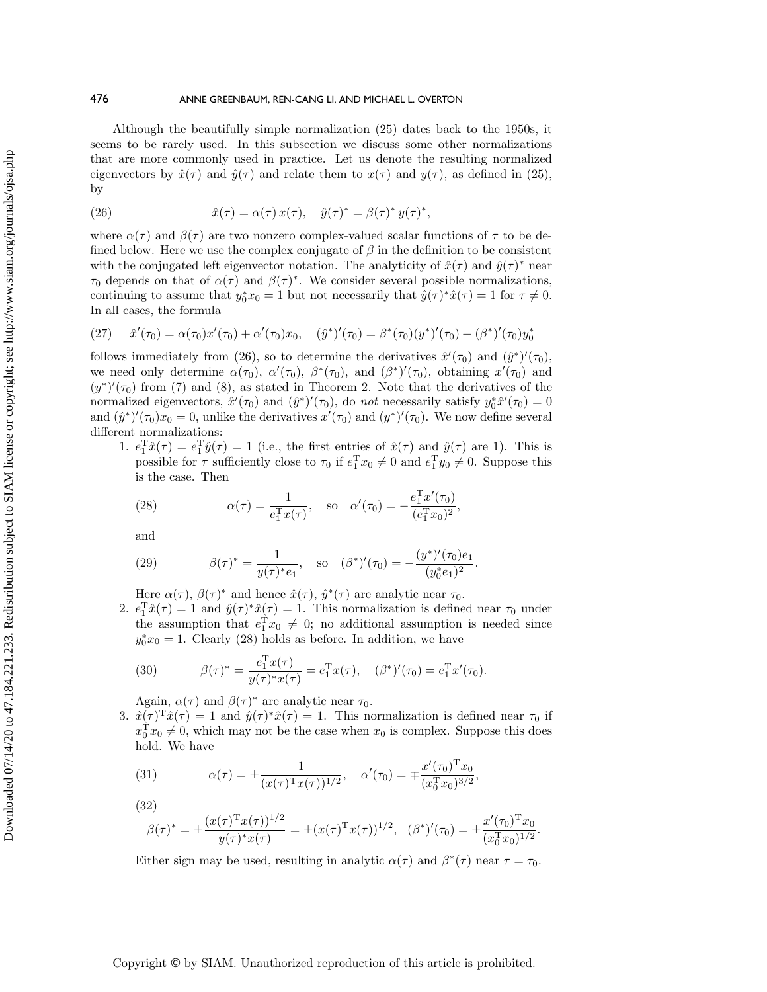Although the beautifully simple normalization [\(25\)](#page-11-1) dates back to the 1950s, it seems to be rarely used. In this subsection we discuss some other normalizations that are more commonly used in practice. Let us denote the resulting normalized eigenvectors by  $\hat x(\tau )$  and  $\hat y(\tau )$  and relate them to  $x(\tau )$  and  $y(\tau )$ , as defined in [\(25\)](#page-11-1), by

<span id="page-13-0"></span>(26) 
$$
\hat{x}(\tau) = \alpha(\tau) x(\tau), \quad \hat{y}(\tau)^* = \beta(\tau)^* y(\tau)^*,
$$

where  $\alpha (\tau )$  and  $\beta (\tau )$  are two nonzero complex-valued scalar functions of  $\tau$  to be defined below. Here we use the complex conjugate of  $\beta$  in the definition to be consistent with the conjugated left eigenvector notation. The analyticity of  $\hat{x}(\tau )$  and  $\hat{y}(\tau )^*$  near  $\tau_0$  depends on that of  $\alpha (\tau )$  and  $\beta (\tau )^*$ . We consider several possible normalizations, continuing to assume that  $y_0^* x_0 = 1$  but not necessarily that  $\hat{y}(\tau )^* \hat{x}(\tau ) = 1$  for  $\tau \neq 0$ . In all cases, the formula

<span id="page-13-2"></span>(27) 
$$
\hat{x}'(\tau_0) = \alpha(\tau_0)x'(\tau_0) + \alpha'(\tau_0)x_0, \quad (\hat{y}^*)'(\tau_0) = \beta^*(\tau_0)(y^*)'(\tau_0) + (\beta^*)'(\tau_0)y_0^*
$$

follows immediately from [\(26\)](#page-13-0), so to determine the derivatives  $\hat{x}'(\tau_0)$  and  $(\hat{y}^*)'(\tau_0)$ , we need only determine  $\alpha(\tau_0)$ ,  $\alpha'(\tau_0)$ ,  $\beta^*(\tau_0)$ , and  $(\beta^*)'(\tau_0)$ , obtaining  $x'(\tau_0)$  and  $(y^*)'(\tau_0)$  from [\(7\)](#page-4-3) and [\(8\)](#page-4-4), as stated in Theorem [2.](#page-4-5) Note that the derivatives of the normalized eigenvectors,  $\hat x'(\tau_0)$  and  $(\hat y^*)'(\tau_0)$ , do not necessarily satisfy  $y_0^*\hat x'(\tau_0) = 0$ and  $(\hat{y}^*)'(\tau_0)x_0 = 0$ , unlike the derivatives  $x'(\tau_0)$  and  $(y^*)'(\tau_0)$ . We now define several different normalizations:

1.  $e_1^{\text{T}}\hat{x}(\tau) = e_1^{\text{T}}\hat{y}(\tau) = 1$  (i.e., the first entries of  $\hat{x}(\tau)$  and  $\hat{y}(\tau)$  are 1). This is possible for  $\tau$  sufficiently close to  $\tau_0$  if  $e_1^{\mathrm{T}} x_0 \neq 0$  and  $e_1^{\mathrm{T}} y_0 \neq 0$ . Suppose this is the case. Then

<span id="page-13-1"></span>(28) 
$$
\alpha(\tau) = \frac{1}{e_1^{\mathrm{T}} x(\tau)}, \quad \text{so} \quad \alpha'(\tau_0) = -\frac{e_1^{\mathrm{T}} x'(\tau_0)}{(e_1^{\mathrm{T}} x_0)^2},
$$

and

<span id="page-13-3"></span>(29) 
$$
\beta(\tau)^* = \frac{1}{y(\tau)^* e_1}, \quad \text{so} \quad (\beta^*)'(\tau_0) = -\frac{(y^*)'(\tau_0) e_1}{(y_0^* e_1)^2}.
$$

Here  $\alpha (\tau )$ ,  $\beta (\tau )^*$  and hence  $\hat{x}(\tau )$ ,  $\hat{y}^*(\tau )$  are analytic near  $\tau _0$ .

2.  $e_1^{\text{T}}\hat{x}(\tau) = 1$  and  $\hat{y}(\tau)^*\hat{x}(\tau) = 1$ . This normalization is defined near  $\tau_0$  under the assumption that  $e_1^T x_0 \neq 0$ ; no additional assumption is needed since  $y_0^* x_0 = 1$ . Clearly [\(28\)](#page-13-1) holds as before. In addition, we have

<span id="page-13-4"></span>(30) 
$$
\beta(\tau)^* = \frac{e_1^{\mathrm{T}} x(\tau)}{y(\tau)^* x(\tau)} = e_1^{\mathrm{T}} x(\tau), \quad (\beta^*)'(\tau_0) = e_1^{\mathrm{T}} x'(\tau_0).
$$

Again,  $\alpha (\tau )$  and  $\beta (\tau )^*$  are analytic near  $\tau _0$ .

3.  $\hat x(\tau )^T\hat x(\tau ) = 1$  and  $\hat y(\tau )^*\hat x(\tau ) = 1$ . This normalization is defined near  $\tau_0$  if  $x_0^{\mathrm{T}} x_0 \neq 0$ , which may not be the case when  $x_0$  is complex. Suppose this does hold. We have

<span id="page-13-5"></span>(31) 
$$
\alpha(\tau) = \pm \frac{1}{(x(\tau)^{\mathrm{T}} x(\tau))^{1/2}}, \quad \alpha'(\tau_0) = \mp \frac{x'(\tau_0)^{\mathrm{T}} x_0}{(x_0^{\mathrm{T}} x_0)^{3/2}},
$$

$$
(32)
$$

<span id="page-13-6"></span>
$$
\beta(\tau)^* = \pm \frac{(x(\tau)^T x(\tau))^{1/2}}{y(\tau)^* x(\tau)} = \pm (x(\tau)^T x(\tau))^{1/2}, \quad (\beta^*)'(\tau_0) = \pm \frac{x'(\tau_0)^T x_0}{(x_0^T x_0)^{1/2}}.
$$

Either sign may be used, resulting in analytic  $\alpha (\tau )$  and  $\beta^* (\tau )$  near  $\tau = \tau_0$ .

Copyright © by SIAM. Unauthorized reproduction of this article is prohibited.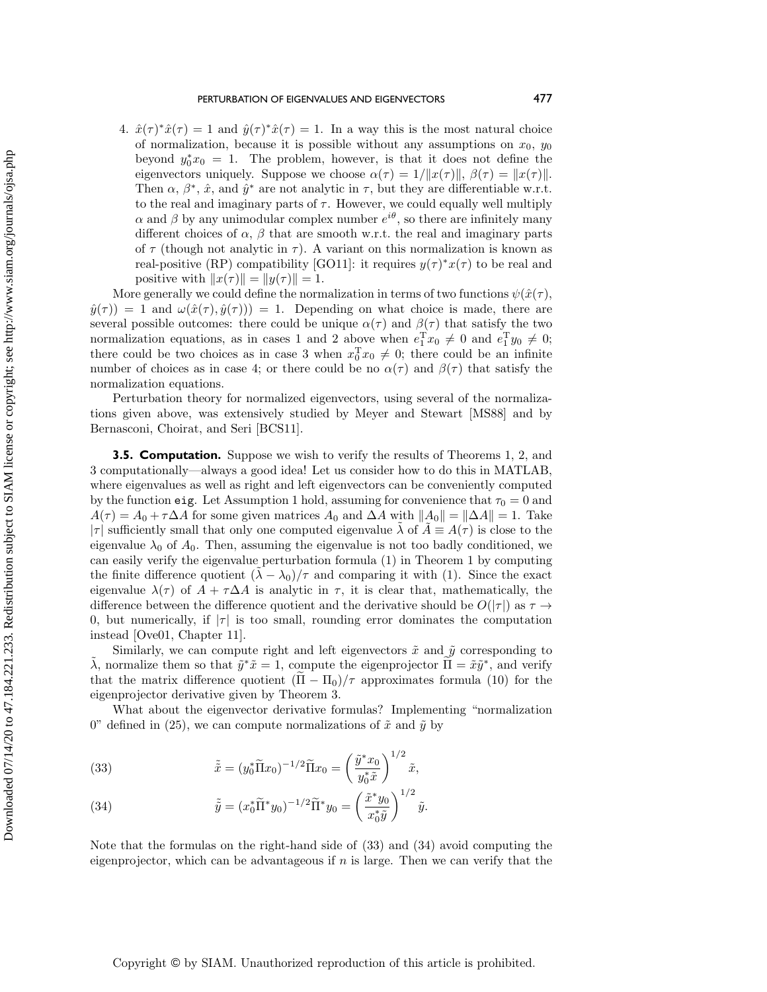4.  $\hat{x}(\tau )^* \hat{x}(\tau ) = 1$  and  $\hat{y}(\tau )^* \hat{x}(\tau ) = 1$ . In a way this is the most natural choice of normalization, because it is possible without any assumptions on  $x_0$ ,  $y_0$ beyond  $y_0^* x_0 = 1$ . The problem, however, is that it does not define the eigenvectors uniquely. Suppose we choose  $\alpha (\tau ) = 1/\| x(\tau )\| , \beta (\tau ) = \| x(\tau )\| .$ Then  $\alpha, \beta^*, \hat{x}$ , and  $\hat{y}^*$  are not analytic in  $\tau$ , but they are differentiable w.r.t. to the real and imaginary parts of  $\tau$ . However, we could equally well multiply  $\alpha$  and  $\beta$  by any unimodular complex number  $e^{i\theta}$ , so there are infinitely many different choices of  $\alpha$ ,  $\beta$  that are smooth w.r.t. the real and imaginary parts of  $\tau$  (though not analytic in  $\tau$ ). A variant on this normalization is known as real-positive (RP) compatibility [\[GO11\]](#page-18-11): it requires  $y(\tau )^* x(\tau )$  to be real and positive with  $\| x(\tau )\| = \| y(\tau )\| = 1.$ 

More generally we could define the normalization in terms of two functions  $\psi (\hat x(\tau ),)$  $\hat y(\tau ) = 1$  and  $\omega (\hat x(\tau ), \hat y(\tau )) = 1$ . Depending on what choice is made, there are several possible outcomes: there could be unique  $\alpha (\tau )$  and  $\beta (\tau )$  that satisfy the two normalization equations, as in cases 1 and 2 above when  $e_1^T x_0 \neq 0$  and  $e_1^T y_0 \neq 0$ ; there could be two choices as in case 3 when  $x_0^{\mathrm{T}} x_0 \neq 0$ ; there could be an infinite number of choices as in case 4; or there could be no  $\alpha (\tau )$  and  $\beta (\tau )$  that satisfy the normalization equations.

Perturbation theory for normalized eigenvectors, using several of the normalizations given above, was extensively studied by Meyer and Stewart [\[MS88\]](#page-18-10) and by Bernasconi, Choirat, and Seri [\[BCS11\]](#page-17-8).

**3.5. Computation.** Suppose we wish to verify the results of Theorems [1,](#page-2-3) [2,](#page-4-5) and [3](#page-5-0) computationally—always a good idea! Let us consider how to do this in MATLAB, where eigenvalues as well as right and left eigenvectors can be conveniently computed by the function eig. Let Assumption [1](#page-2-0) hold, assuming for convenience that  $\tau_0 = 0$  and  $A(\tau ) = A_0 + \tau \Delta A$  for some given matrices  $A_0$  and  $\Delta A$  with  $\| A_0\| = \| \Delta A\| = 1$ . Take  $|\tau|$  sufficiently small that only one computed eigenvalue  $\lambda$  of  $A \equiv A(\tau )$  is close to the eigenvalue  $\lambda_0$  of  $A_0$ . Then, assuming the eigenvalue is not too badly conditioned, we can easily verify the eigenvalue perturbation formula [\(1\)](#page-2-2) in Theorem [1](#page-2-3) by computing the finite difference quotient  $(\lambda - \lambda_0)/\tau$  and comparing it with [\(1\)](#page-2-2). Since the exact eigenvalue  $\lambda (\tau )$  of  $A + \tau \Delta A$  is analytic in  $\tau$ , it is clear that, mathematically, the difference between the difference quotient and the derivative should be  $O(|\tau |)$  as  $\tau \rightarrow$ 0, but numerically, if  $|\tau|$  is too small, rounding error dominates the computation instead [\[Ove01,](#page-18-18) Chapter 11].

Similarly, we can compute right and left eigenvectors  $\tilde{x}$  and  $\tilde{y}$  corresponding to  $\tilde{\lambda}$ , normalize them so that  $\tilde{y}^* \tilde{x} = 1$ , compute the eigenprojector  $\tilde{\Pi} = \tilde{x}\tilde{y}^*$ , and verify that the matrix difference quotient  $(\Pi - \Pi_0)/\tau$  approximates formula [\(10\)](#page-5-1) for the eigenprojector derivative given by Theorem [3.](#page-5-0)

What about the eigenvector derivative formulas? Implementing "normalization" 0" defined in [\(25\)](#page-11-1), we can compute normalizations of  $\tilde{x}$  and  $\tilde{y}$  by

<span id="page-14-0"></span>(33) 
$$
\tilde{\tilde{x}} = (y_0^* \tilde{\Pi} x_0)^{-1/2} \tilde{\Pi} x_0 = \left(\frac{\tilde{y}^* x_0}{y_0^* \tilde{x}}\right)^{1/2} \tilde{x},
$$

<span id="page-14-1"></span>(34) 
$$
\tilde{\tilde{y}} = (x_0^* \tilde{\Pi}^* y_0)^{-1/2} \tilde{\Pi}^* y_0 = \left(\frac{\tilde{x}^* y_0}{x_0^* \tilde{y}}\right)^{1/2} \tilde{y}.
$$

Note that the formulas on the right-hand side of [\(33\)](#page-14-0) and [\(34\)](#page-14-1) avoid computing the eigenprojector, which can be advantageous if  $n$  is large. Then we can verify that the

Copyright © by SIAM. Unauthorized reproduction of this article is prohibited.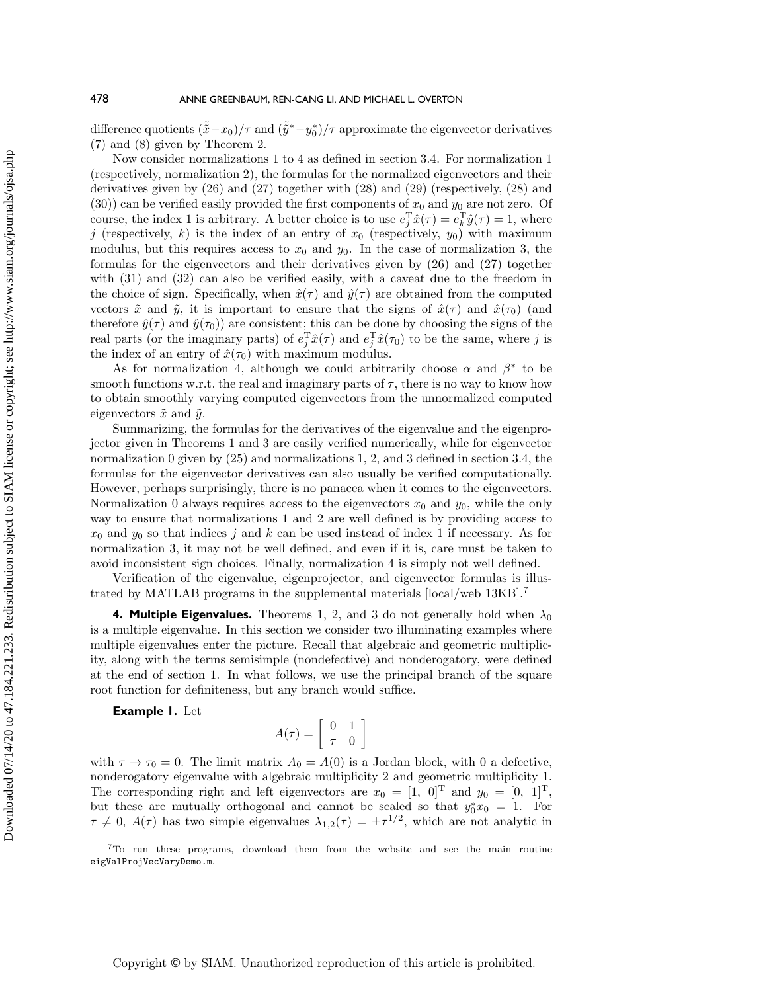difference quotients  $(\tilde{\tilde{x}} - x_0)/\tau$  and  $(\tilde{\tilde{y}}^* - y_0^*)/\tau$  approximate the eigenvector derivatives [\(7\)](#page-4-3) and [\(8\)](#page-4-4) given by Theorem [2.](#page-4-5)

Now consider normalizations 1 to 4 as defined in section [3.4.](#page-12-0) For normalization 1 (respectively, normalization 2), the formulas for the normalized eigenvectors and their derivatives given by [\(26\)](#page-13-0) and [\(27\)](#page-13-2) together with [\(28\)](#page-13-1) and [\(29\)](#page-13-3) (respectively, [\(28\)](#page-13-1) and [\(30\)](#page-13-4)) can be verified easily provided the first components of  $x_0$  and  $y_0$  are not zero. Of course, the index 1 is arbitrary. A better choice is to use  $e_j^T \hat{x}(\tau) = e_k^T \hat{y}(\tau) = 1$ , where j (respectively, k) is the index of an entry of  $x_0$  (respectively,  $y_0$ ) with maximum modulus, but this requires access to  $x_0$  and  $y_0$ . In the case of normalization 3, the formulas for the eigenvectors and their derivatives given by [\(26\)](#page-13-0) and [\(27\)](#page-13-2) together with  $(31)$  and  $(32)$  can also be verified easily, with a caveat due to the freedom in the choice of sign. Specifically, when  $\hat{x}(\tau )$  and  $\hat{y}(\tau )$  are obtained from the computed vectors  $\tilde{x}$  and  $\tilde{y}$ , it is important to ensure that the signs of  $\hat{x}(\tau)$  and  $\hat{x}(\tau_0)$  (and therefore  $\hat{y}(\tau)$  and  $\hat{y}(\tau_0)$  are consistent; this can be done by choosing the signs of the real parts (or the imaginary parts) of  $e_j^T \hat{x}(\tau)$  and  $e_j^T \hat{x}(\tau_0)$  to be the same, where j is the index of an entry of  $\hat x(\tau_0)$  with maximum modulus.

As for normalization 4, although we could arbitrarily choose  $\alpha$  and  $\beta^*$  to be smooth functions w.r.t. the real and imaginary parts of  $\tau$ , there is no way to know how to obtain smoothly varying computed eigenvectors from the unnormalized computed eigenvectors  $\tilde{x}$  and  $\tilde{y}$ .

Summarizing, the formulas for the derivatives of the eigenvalue and the eigenprojector given in Theorems 1 and 3 are easily verified numerically, while for eigenvector normalization 0 given by [\(25\)](#page-11-1) and normalizations 1, 2, and 3 defined in section [3.4,](#page-12-0) the formulas for the eigenvector derivatives can also usually be verified computationally. However, perhaps surprisingly, there is no panacea when it comes to the eigenvectors. Normalization 0 always requires access to the eigenvectors  $x_0$  and  $y_0$ , while the only way to ensure that normalizations 1 and 2 are well defined is by providing access to  $x_0$  and  $y_0$  so that indices j and k can be used instead of index 1 if necessary. As for normalization 3, it may not be well defined, and even if it is, care must be taken to avoid inconsistent sign choices. Finally, normalization 4 is simply not well defined.

Verification of the eigenvalue, eigenprojector, and eigenvector formulas is illustrated by MATLAB programs in the supplemental materials [\[local](M124784SupMat.zip)[/web](http://epubs.siam.org/doi/suppl/10.1137/19M124784X/suppl_file/M124784SupMat.zip) 13KB].[7](#page-15-1)

<span id="page-15-0"></span>**4. Multiple Eigenvalues.** Theorems [1,](#page-2-3) [2,](#page-4-5) and [3](#page-5-0) do not generally hold when  $\lambda_0$ is a multiple eigenvalue. In this section we consider two illuminating examples where multiple eigenvalues enter the picture. Recall that algebraic and geometric multiplicity, along with the terms semisimple (nondefective) and nonderogatory, were defined at the end of section [1.](#page-2-3) In what follows, we use the principal branch of the square root function for definiteness, but any branch would suffice.

**Example 1.** Let

$$
A(\tau) = \left[ \begin{array}{cc} 0 & 1 \\ \tau & 0 \end{array} \right]
$$

with  $\tau \to \tau_0 = 0$ . The limit matrix  $A_0 = A(0)$  is a Jordan block, with 0 a defective, nonderogatory eigenvalue with algebraic multiplicity 2 and geometric multiplicity 1. The corresponding right and left eigenvectors are  $x_0 = [1, 0]^T$  and  $y_0 = [0, 1]^T$ , but these are mutually orthogonal and cannot be scaled so that  $y_0^* x_0 = 1$ . For  $\tau \neq 0, A(\tau )$  has two simple eigenvalues  $\lambda_{1,2}(\tau ) = \pm \tau^{1/2}$ , which are not analytic in

<span id="page-15-1"></span><sup>7</sup>To run these programs, download them from the website and see the main routine eigValProjVecVaryDemo.m.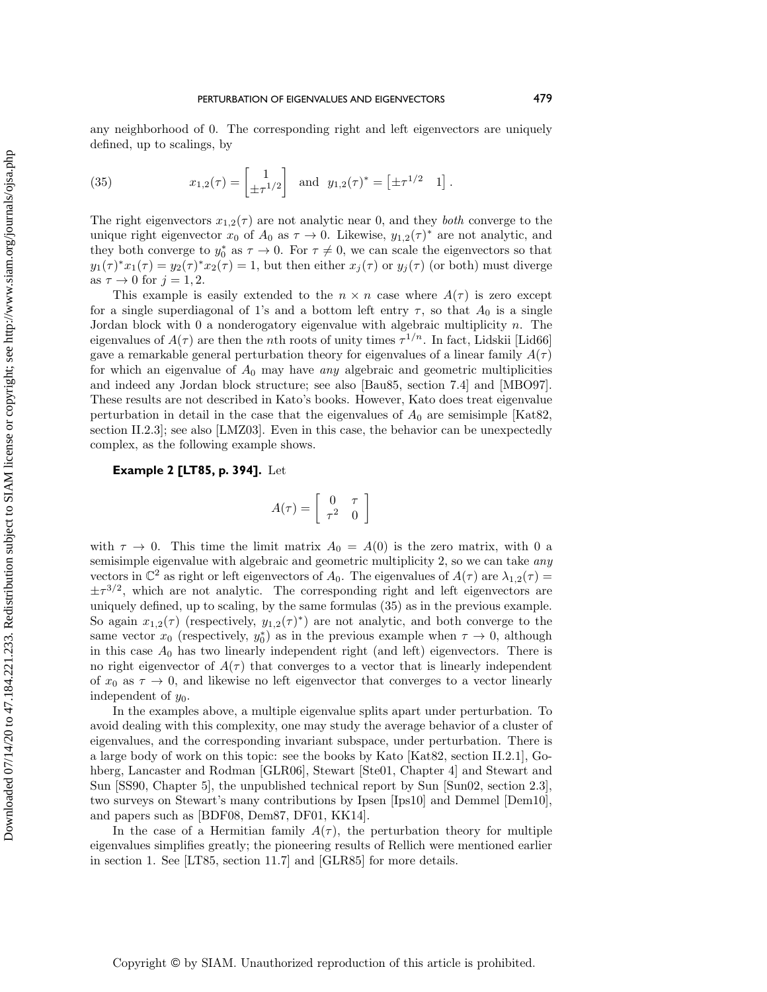any neighborhood of 0. The corresponding right and left eigenvectors are uniquely defined, up to scalings, by

<span id="page-16-0"></span>(35) 
$$
x_{1,2}(\tau) = \begin{bmatrix} 1 \\ \pm \tau^{1/2} \end{bmatrix}
$$
 and  $y_{1,2}(\tau)^* = \begin{bmatrix} \pm \tau^{1/2} & 1 \end{bmatrix}$ .

The right eigenvectors  $x_{1,2}(\tau )$  are not analytic near 0, and they both converge to the unique right eigenvector  $x_0$  of  $A_0$  as  $\tau \rightarrow 0$ . Likewise,  $y_{1,2}(\tau )^*$  are not analytic, and they both converge to  $y_0^*$  as  $\tau \to 0$ . For  $\tau \neq 0$ , we can scale the eigenvectors so that  $y_1(\tau )^* x_1(\tau ) = y_2(\tau )^* x_2(\tau ) = 1$ , but then either  $x_j(\tau )$  or  $y_j(\tau )$  (or both) must diverge as  $\tau \rightarrow 0$  for  $j = 1, 2$ .

This example is easily extended to the  $n \times n$  case where  $A(\tau )$  is zero except for a single superdiagonal of 1's and a bottom left entry  $\tau$ , so that  $A_0$  is a single Jordan block with  $0$  a nonderogatory eigenvalue with algebraic multiplicity  $n$ . The eigenvalues of  $A(\tau )$  are then the nth roots of unity times  $\tau ^{1/n}$ . In fact, Lidskii [\[Lid66\]](#page-18-9) gave a remarkable general perturbation theory for eigenvalues of a linear family  $A(\tau )$ for which an eigenvalue of  $A_0$  may have any algebraic and geometric multiplicities and indeed any Jordan block structure; see also [\[Bau85,](#page-17-1) section 7.4] and [\[MBO97\]](#page-18-19). These results are not described in Kato's books. However, Kato does treat eigenvalue perturbation in detail in the case that the eigenvalues of  $A_0$  are semisimple [\[Kat82,](#page-18-2) section II.2.3]; see also [\[LMZ03\]](#page-18-20). Even in this case, the behavior can be unexpectedly complex, as the following example shows.

**Example 2 [\[LT85,](#page-18-5) p. 394].** Let

$$
A(\tau) = \left[ \begin{array}{cc} 0 & \tau \\ \tau^2 & 0 \end{array} \right]
$$

with  $\tau \to 0$ . This time the limit matrix  $A_0 = A(0)$  is the zero matrix, with 0 a semisimple eigenvalue with algebraic and geometric multiplicity 2, so we can take *any* vectors in  $\Bbb C^2$  as right or left eigenvectors of  $A_0$ . The eigenvalues of  $A(\tau)$  are  $\lambda_{1,2}(\tau ) =$  $\pm \tau^{3/2}$ , which are not analytic. The corresponding right and left eigenvectors are uniquely defined, up to scaling, by the same formulas [\(35\)](#page-16-0) as in the previous example. So again  $x_{1,2}(\tau )$  (respectively,  $y_{1,2}(\tau )^*$ ) are not analytic, and both converge to the same vector  $x_0$  (respectively,  $y_0^*$ ) as in the previous example when  $\tau \to 0$ , although in this case  $A_0$  has two linearly independent right (and left) eigenvectors. There is no right eigenvector of  $A(\tau)$  that converges to a vector that is linearly independent of  $x_0$  as  $\tau \rightarrow 0$ , and likewise no left eigenvector that converges to a vector linearly independent of  $y_0$ .

In the examples above, a multiple eigenvalue splits apart under perturbation. To avoid dealing with this complexity, one may study the average behavior of a cluster of eigenvalues, and the corresponding invariant subspace, under perturbation. There is a large body of work on this topic: see the books by Kato [\[Kat82,](#page-18-2) section II.2.1], Gohberg, Lancaster and Rodman [\[GLR06\]](#page-18-21), Stewart [\[Ste01,](#page-19-2) Chapter 4] and Stewart and Sun [\[SS90,](#page-19-1) Chapter 5], the unpublished technical report by Sun [\[Sun02,](#page-19-7) section 2.3], two surveys on Stewart's many contributions by Ipsen [\[Ips10\]](#page-18-22) and Demmel [\[Dem10\]](#page-17-9), and papers such as [\[BDF08,](#page-17-10) [Dem87,](#page-17-11) [DF01,](#page-17-12) [KK14\]](#page-18-23).

In the case of a Hermitian family  $A(\tau )$ , the perturbation theory for multiple eigenvalues simplifies greatly; the pioneering results of Rellich were mentioned earlier in section [1.](#page-0-0) See [\[LT85,](#page-18-5) section 11.7] and [\[GLR85\]](#page-18-24) for more details.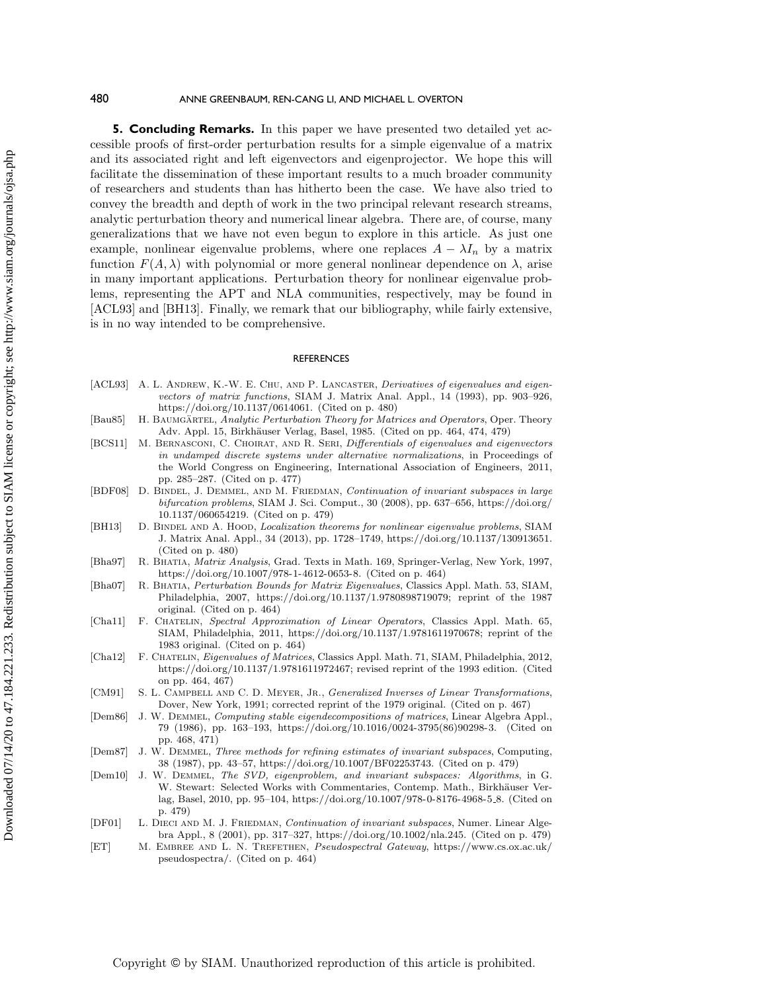**5. Concluding Remarks.** In this paper we have presented two detailed yet accessible proofs of first-order perturbation results for a simple eigenvalue of a matrix and its associated right and left eigenvectors and eigenprojector. We hope this will facilitate the dissemination of these important results to a much broader community of researchers and students than has hitherto been the case. We have also tried to convey the breadth and depth of work in the two principal relevant research streams, analytic perturbation theory and numerical linear algebra. There are, of course, many generalizations that we have not even begun to explore in this article. As just one example, nonlinear eigenvalue problems, where one replaces  $A - \lambda I_n$  by a matrix function  $F(A, \lambda )$  with polynomial or more general nonlinear dependence on  $\lambda$ , arise in many important applications. Perturbation theory for nonlinear eigenvalue problems, representing the APT and NLA communities, respectively, may be found in [\[ACL93\]](#page-17-13) and [\[BH13\]](#page-17-14). Finally, we remark that our bibliography, while fairly extensive, is in no way intended to be comprehensive.

#### **REFERENCES**

- <span id="page-17-13"></span>[ACL93] A. L. ANDREW, K.-W. E. CHU, AND P. LANCASTER, Derivatives of eigenvalues and eigenvectors of matrix functions, SIAM J. Matrix Anal. Appl., 14 (1993), pp. 903-926, [https://doi.org/10.1137/0614061.](https://doi.org/10.1137/0614061) (Cited on p. 480)
- <span id="page-17-1"></span>[Bau85] H. BAUMGÄRTEL, Analytic Perturbation Theory for Matrices and Operators, Oper. Theory Adv. Appl. 15, Birkhäuser Verlag, Basel, 1985. (Cited on pp. 464, 474, 479)
- <span id="page-17-8"></span>[BCS11] M. BERNASCONI, C. CHOIRAT, AND R. SERI, Differentials of eigenvalues and eigenvectors in undamped discrete systems under alternative normalizations, in Proceedings of the World Congress on Engineering, International Association of Engineers, 2011, pp. 285--287. (Cited on p. 477)
- <span id="page-17-10"></span>[BDF08] D. BINDEL, J. DEMMEL, AND M. FRIEDMAN, Continuation of invariant subspaces in large bifurcation problems, SIAM J. Sci. Comput., 30 (2008), pp. 637--656, [https://doi.org/](https://doi.org/10.1137/060654219) [10.1137/060654219.](https://doi.org/10.1137/060654219) (Cited on p. 479)
- <span id="page-17-14"></span>[BH13] D. BINDEL AND A. HOOD, *Localization theorems for nonlinear eigenvalue problems*, SIAM J. Matrix Anal. Appl., 34 (2013), pp. 1728-1749, [https://doi.org/10.1137/130913651.](https://doi.org/10.1137/130913651) (Cited on p. 480)
- <span id="page-17-2"></span>[Bha97] R. BHATIA, *Matrix Analysis*, Grad. Texts in Math. 169, Springer-Verlag, New York, 1997, [https://doi.org/10.1007/978-1-4612-0653-8.](https://doi.org/10.1007/978-1-4612-0653-8) (Cited on p. 464)
- <span id="page-17-3"></span>[Bha07] R. Bhatia, Perturbation Bounds for Matrix Eigenvalues, Classics Appl. Math. 53, SIAM, Philadelphia, 2007, [https://doi.org/10.1137/1.9780898719079;](https://doi.org/10.1137/1.9780898719079) reprint of the 1987 original. (Cited on p. 464)
- <span id="page-17-0"></span>[Cha11] F. CHATELIN, Spectral Approximation of Linear Operators, Classics Appl. Math. 65, SIAM, Philadelphia, 2011, [https://doi.org/10.1137/1.9781611970678;](https://doi.org/10.1137/1.9781611970678) reprint of the 1983 original. (Cited on p. 464)
- <span id="page-17-4"></span>[Cha12] F. Chatelin, Eigenvalues of Matrices, Classics Appl. Math. 71, SIAM, Philadelphia, 2012, [https://doi.org/10.1137/1.9781611972467;](https://doi.org/10.1137/1.9781611972467) revised reprint of the 1993 edition. (Cited on pp. 464, 467)
- <span id="page-17-6"></span>[CM91] S. L. CAMPBELL AND C. D. MEYER, JR., Generalized Inverses of Linear Transformations, Dover, New York, 1991; corrected reprint of the 1979 original. (Cited on p. 467)
- <span id="page-17-7"></span>[Dem86] J. W. Demmel, Computing stable eigendecompositions of matrices, Linear Algebra Appl., 79 (1986), pp. 163--193, [https://doi.org/10.1016/0024-3795\(86\)90298-3.](https://doi.org/10.1016/0024-3795(86)90298-3) (Cited on pp. 468, 471)
- <span id="page-17-11"></span>[Dem87] J. W. DEMMEL, Three methods for refining estimates of invariant subspaces, Computing, 38 (1987), pp. 43--57, [https://doi.org/10.1007/BF02253743.](https://doi.org/10.1007/BF02253743) (Cited on p. 479)
- <span id="page-17-9"></span>[Dem10] J. W. Demmel, The SVD, eigenproblem, and invariant subspaces: Algorithms, in G. W. Stewart: Selected Works with Commentaries, Contemp. Math., Birkhäuser Verlag, Basel, 2010, pp. 95--104, [https://doi.org/10.1007/978-0-8176-4968-5](https://doi.org/10.1007/978-0-8176-4968-5_8) 8. (Cited on p. 479)
- <span id="page-17-12"></span>[DF01] L. DIECI AND M. J. FRIEDMAN, Continuation of invariant subspaces, Numer. Linear Algebra Appl., 8 (2001), pp. 317--327, [https://doi.org/10.1002/nla.245.](https://doi.org/10.1002/nla.245) (Cited on p. 479)
- <span id="page-17-5"></span>[ET] M. Embree and L. N. Trefethen, Pseudospectral Gateway, [https://www.cs.ox.ac.uk/](https://www.cs.ox.ac.uk/pseudospectra/) [pseudospectra/.](https://www.cs.ox.ac.uk/pseudospectra/) (Cited on p. 464)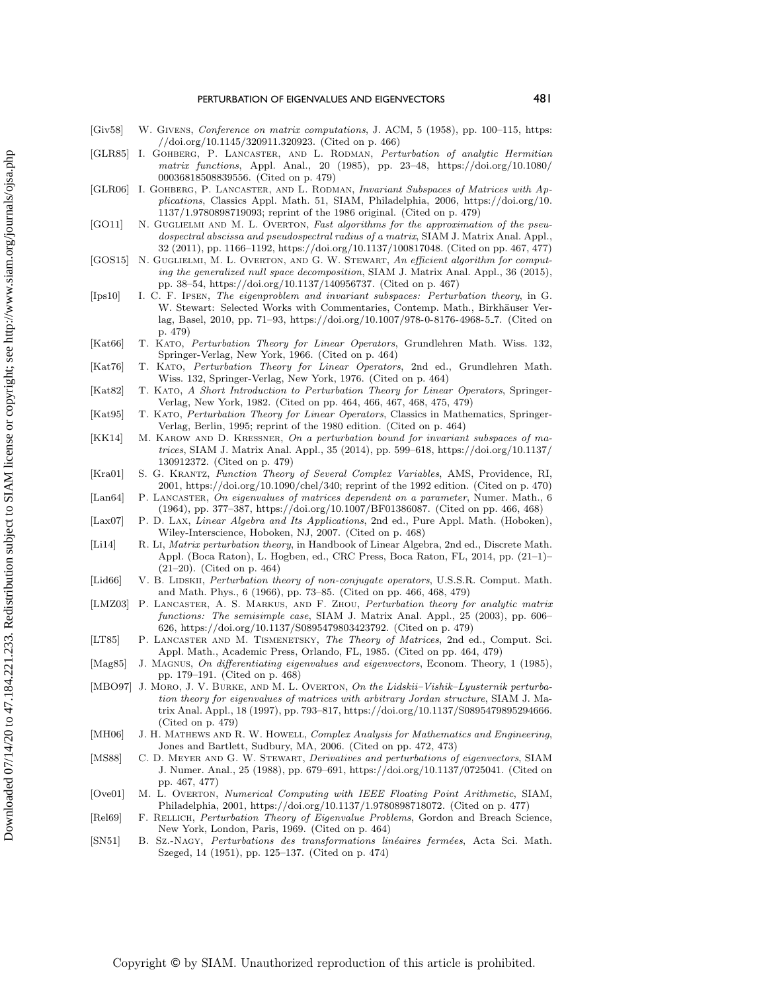### PERTURBATION OF EIGENVALUES AND EIGENVECTORS 481

- <span id="page-18-7"></span>[Giv58] W. GIVENS, Conference on matrix computations, J. ACM, 5 (1958), pp. 100-115, [https:](https://doi.org/10.1145/320911.320923) [//doi.org/10.1145/320911.320923.](https://doi.org/10.1145/320911.320923) (Cited on p. 466)
- <span id="page-18-24"></span>[GLR85] I. GOHBERG, P. LANCASTER, AND L. RODMAN, Perturbation of analytic Hermitian matrix functions, Appl. Anal., 20 (1985), pp. 23--48, [https://doi.org/10.1080/](https://doi.org/10.1080/00036818508839556) [00036818508839556.](https://doi.org/10.1080/00036818508839556) (Cited on p. 479)
- <span id="page-18-21"></span>[GLR06] I. GOHBERG, P. LANCASTER, AND L. RODMAN, Invariant Subspaces of Matrices with Applications, Classics Appl. Math. 51, SIAM, Philadelphia, 2006, [https://doi.org/10.](https://doi.org/10.1137/1.9780898719093) [1137/1.9780898719093;](https://doi.org/10.1137/1.9780898719093) reprint of the 1986 original. (Cited on p. 479)
- <span id="page-18-11"></span>[GO11] N. GUGLIELMI AND M. L. OVERTON, Fast algorithms for the approximation of the pseudospectral abscissa and pseudospectral radius of a matrix, SIAM J. Matrix Anal. Appl., 32 (2011), pp. 1166--1192, [https://doi.org/10.1137/100817048.](https://doi.org/10.1137/100817048) (Cited on pp. 467, 477)
- <span id="page-18-12"></span>[GOS15] N. GUGLIELMI, M. L. OVERTON, AND G. W. STEWART, An efficient algorithm for computing the generalized null space decomposition, SIAM J. Matrix Anal. Appl., 36 (2015), pp. 38--54, [https://doi.org/10.1137/140956737.](https://doi.org/10.1137/140956737) (Cited on p. 467)
- <span id="page-18-22"></span>[Ips10] I. C. F. Ipsen, The eigenproblem and invariant subspaces: Perturbation theory, in G. W. Stewart: Selected Works with Commentaries, Contemp. Math., Birkhäuser Verlag, Basel, 2010, pp. 71--93, [https://doi.org/10.1007/978-0-8176-4968-5](https://doi.org/10.1007/978-0-8176-4968-5_7) 7. (Cited on p. 479)
- <span id="page-18-0"></span>[Kat66] T. Kato, Perturbation Theory for Linear Operators, Grundlehren Math. Wiss. 132, Springer-Verlag, New York, 1966. (Cited on p. 464)
- <span id="page-18-1"></span>[Kat76] T. Kato, Perturbation Theory for Linear Operators, 2nd ed., Grundlehren Math. Wiss. 132, Springer-Verlag, New York, 1976. (Cited on p. 464)
- <span id="page-18-2"></span>[Kat82] T. Kato, A Short Introduction to Perturbation Theory for Linear Operators, Springer-Verlag, New York, 1982. (Cited on pp. 464, 466, 467, 468, 475, 479)
- <span id="page-18-3"></span>[Kat95] T. Kato, Perturbation Theory for Linear Operators, Classics in Mathematics, Springer-Verlag, Berlin, 1995; reprint of the 1980 edition. (Cited on p. 464)
- <span id="page-18-23"></span>[KK14] M. KAROW AND D. KRESSNER, On a perturbation bound for invariant subspaces of ma $trices, SIAM J. Matrix Anal. Appl., 35 (2014), pp. 599–618, <https://doi.org/10.1137/>$ [130912372.](https://doi.org/10.1137/130912372) (Cited on p. 479)
- <span id="page-18-15"></span>[Kra01] S. G. Krantz, Function Theory of Several Complex Variables, AMS, Providence, RI, 2001, [https://doi.org/10.1090/chel/340;](https://doi.org/10.1090/chel/340) reprint of the 1992 edition. (Cited on p. 470)
- <span id="page-18-8"></span>[Lan64] P. LANCASTER, On eigenvalues of matrices dependent on a parameter, Numer. Math., 6  $(1964)$ , pp. 377-387, [https://doi.org/10.1007/BF01386087.](https://doi.org/10.1007/BF01386087) (Cited on pp. 466, 468)
- <span id="page-18-14"></span>[Lax07] P. D. LAX, Linear Algebra and Its Applications, 2nd ed., Pure Appl. Math. (Hoboken), Wiley-Interscience, Hoboken, NJ, 2007. (Cited on p. 468)
- <span id="page-18-6"></span>[Li14] R. Li, Matrix perturbation theory, in Handbook of Linear Algebra, 2nd ed., Discrete Math. Appl. (Boca Raton), L. Hogben, ed., CRC Press, Boca Raton, FL, 2014, pp. (21-1)- $(21-20)$ . (Cited on p. 464)
- <span id="page-18-9"></span>[Lid66] V. B. LIDSKII, *Perturbation theory of non-conjugate operators*, U.S.S.R. Comput. Math. and Math. Phys., 6 (1966), pp. 73-85. (Cited on pp. 466, 468, 479)
- <span id="page-18-20"></span>[LMZ03] P. LANCASTER, A. S. MARKUS, AND F. ZHOU, Perturbation theory for analytic matrix functions: The semisimple case, SIAM J. Matrix Anal. Appl., 25 (2003), pp. 606– 626, [https://doi.org/10.1137/S0895479803423792.](https://doi.org/10.1137/S0895479803423792) (Cited on p. 479)
- <span id="page-18-5"></span>[LT85] P. Lancaster and M. Tismenetsky, The Theory of Matrices, 2nd ed., Comput. Sci. Appl. Math., Academic Press, Orlando, FL, 1985. (Cited on pp. 464, 479)
- <span id="page-18-13"></span>[Mag85] J. MAGNUS, On differentiating eigenvalues and eigenvectors, Econom. Theory, 1 (1985), pp. 179-191. (Cited on p. 468)
- <span id="page-18-19"></span>[MBO97] J. MORO, J. V. BURKE, AND M. L. OVERTON, On the Lidskii-Vishik-Lyusternik perturbation theory for eigenvalues of matrices with arbitrary Jordan structure, SIAM J. Matrix Anal. Appl., 18 (1997), pp. 793-817, [https://doi.org/10.1137/S0895479895294666.](https://doi.org/10.1137/S0895479895294666) (Cited on p. 479)
- <span id="page-18-16"></span>[MH06] J. H. MATHEWS AND R. W. HOWELL, Complex Analysis for Mathematics and Engineering, Jones and Bartlett, Sudbury, MA, 2006. (Cited on pp. 472, 473)
- <span id="page-18-10"></span>[MS88] C. D. Meyer and G. W. Stewart, Derivatives and perturbations of eigenvectors, SIAM J. Numer. Anal., 25 (1988), pp. 679-691, [https://doi.org/10.1137/0725041.](https://doi.org/10.1137/0725041) (Cited on pp. 467, 477)
- <span id="page-18-18"></span>[Ove01] M. L. OVERTON, Numerical Computing with IEEE Floating Point Arithmetic, SIAM, Philadelphia, 2001, [https://doi.org/10.1137/1.9780898718072.](https://doi.org/10.1137/1.9780898718072) (Cited on p. 477)
- <span id="page-18-4"></span>[Rel69] F. RELLICH, Perturbation Theory of Eigenvalue Problems, Gordon and Breach Science, New York, London, Paris, 1969. (Cited on p. 464)
- <span id="page-18-17"></span>[SN51] B. Sz.-Nagy, Perturbations des transformations lin\'eaires ferm\'ees, Acta Sci. Math. Szeged, 14 (1951), pp. 125-137. (Cited on p. 474)